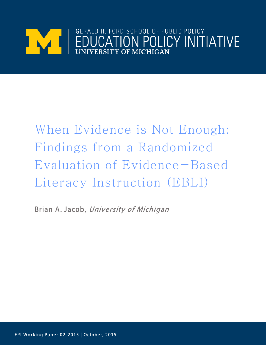

# When Evidence is Not Enough: Findings from a Randomized Evaluation of Evidence-Based Literacy Instruction (EBLI)

Brian A. Jacob, University of Michigan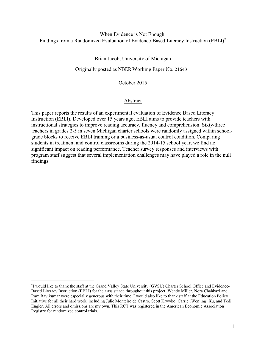## When Evidence is Not Enough: Findings from a Randomized Evaluation of Evidence-Based Literacy Instruction (EBLI)[∗](#page-1-0)

Brian Jacob, University of Michigan

Originally posted as NBER Working Paper No. 21643

October 2015

## Abstract

This paper reports the results of an experimental evaluation of Evidence Based Literacy Instruction (EBLI). Developed over 15 years ago, EBLI aims to provide teachers with instructional strategies to improve reading accuracy, fluency and comprehension. Sixty-three teachers in grades 2-5 in seven Michigan charter schools were randomly assigned within schoolgrade blocks to receive EBLI training or a business-as-usual control condition. Comparing students in treatment and control classrooms during the 2014-15 school year, we find no significant impact on reading performance. Teacher survey responses and interviews with program staff suggest that several implementation challenges may have played a role in the null findings.

<span id="page-1-0"></span><sup>∗</sup> I would like to thank the staff at the Grand Valley State University (GVSU) Charter School Office and Evidence-Based Literacy Instruction (EBLI) for their assistance throughout this project. Wendy Miller, Nora Chahbazi and Ram Ravikumar were especially generous with their time. I would also like to thank staff at the Education Policy Initiative for all their hard work, including Julie Monteiro de Castro, Scott Krywko, Carrie (Wenjing) Xu, and Tedi Engler. All errors and omissions are my own. This RCT was registered in the American Economic Association Registry for randomized control trials.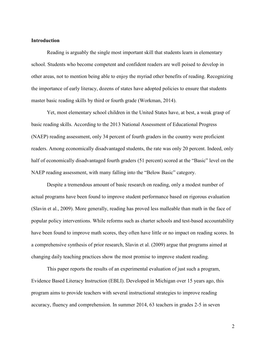## **Introduction**

Reading is arguably the single most important skill that students learn in elementary school. Students who become competent and confident readers are well poised to develop in other areas, not to mention being able to enjoy the myriad other benefits of reading. Recognizing the importance of early literacy, dozens of states have adopted policies to ensure that students master basic reading skills by third or fourth grade (Workman, 2014).

Yet, most elementary school children in the United States have, at best, a weak grasp of basic reading skills. According to the 2013 National Assessment of Educational Progress (NAEP) reading assessment, only 34 percent of fourth graders in the country were proficient readers. Among economically disadvantaged students, the rate was only 20 percent. Indeed, only half of economically disadvantaged fourth graders (51 percent) scored at the "Basic" level on the NAEP reading assessment, with many falling into the "Below Basic" category.

Despite a tremendous amount of basic research on reading, only a modest number of actual programs have been found to improve student performance based on rigorous evaluation (Slavin et al., 2009). More generally, reading has proved less malleable than math in the face of popular policy interventions. While reforms such as charter schools and test-based accountability have been found to improve math scores, they often have little or no impact on reading scores. In a comprehensive synthesis of prior research, Slavin et al. (2009) argue that programs aimed at changing daily teaching practices show the most promise to improve student reading.

 This paper reports the results of an experimental evaluation of just such a program, Evidence Based Literacy Instruction (EBLI). Developed in Michigan over 15 years ago, this program aims to provide teachers with several instructional strategies to improve reading accuracy, fluency and comprehension. In summer 2014, 63 teachers in grades 2-5 in seven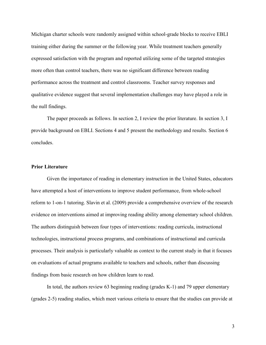Michigan charter schools were randomly assigned within school-grade blocks to receive EBLI training either during the summer or the following year. While treatment teachers generally expressed satisfaction with the program and reported utilizing some of the targeted strategies more often than control teachers, there was no significant difference between reading performance across the treatment and control classrooms. Teacher survey responses and qualitative evidence suggest that several implementation challenges may have played a role in the null findings.

 The paper proceeds as follows. In section 2, I review the prior literature. In section 3, I provide background on EBLI. Sections 4 and 5 present the methodology and results. Section 6 concludes.

## **Prior Literature**

Given the importance of reading in elementary instruction in the United States, educators have attempted a host of interventions to improve student performance, from whole-school reform to 1-on-1 tutoring. Slavin et al. (2009) provide a comprehensive overview of the research evidence on interventions aimed at improving reading ability among elementary school children. The authors distinguish between four types of interventions: reading curricula, instructional technologies, instructional process programs, and combinations of instructional and curricula processes. Their analysis is particularly valuable as context to the current study in that it focuses on evaluations of actual programs available to teachers and schools, rather than discussing findings from basic research on how children learn to read.

 In total, the authors review 63 beginning reading (grades K-1) and 79 upper elementary (grades 2-5) reading studies, which meet various criteria to ensure that the studies can provide at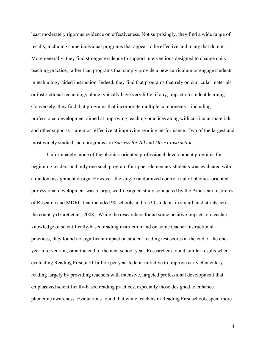least moderately rigorous evidence on effectiveness. Not surprisingly, they find a wide range of results, including some individual programs that appear to be effective and many that do not. More generally, they find stronger evidence to support interventions designed to change daily teaching practice, rather than programs that simply provide a new curriculum or engage students in technology-aided instruction. Indeed, they find that programs that rely on curricular materials or instructional technology alone typically have very little, if any, impact on student learning. Conversely, they find that programs that incorporate multiple components – including professional development aimed at improving teaching practices along with curricular materials and other supports – are most effective at improving reading performance. Two of the largest and most widely studied such programs are *Success for All* and *Direct Instruction*.

 Unfortunately, none of the phonics-oriented professional development programs for beginning readers and only one such program for upper elementary students was evaluated with a random assignment design. However, the single randomized control trial of phonics-oriented professional development was a large, well-designed study conducted by the American Institutes of Research and MDRC that included 90 schools and 5,530 students in six urban districts across the country (Garet et al., 2008). While the researchers found some positive impacts on teacher knowledge of scientifically-based reading instruction and on some teacher instructional practices, they found no significant impact on student reading test scores at the end of the oneyear intervention, or at the end of the next school year. Researchers found similar results when evaluating Reading First, a \$1 billion per year federal initiative to improve early elementary reading largely by providing teachers with intensive, targeted professional development that emphasized scientifically-based reading practices, especially those designed to enhance phonemic awareness. Evaluations found that while teachers in Reading First schools spent more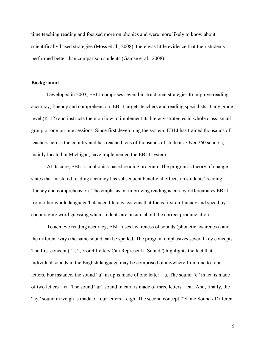time teaching reading and focused more on phonics and were more likely to know about scientifically-based strategies (Moss et al., 2008), there was little evidence that their students performed better than comparison students (Gamse et al., 2008).

## **Background**

 Developed in 2003, EBLI comprises several instructional strategies to improve reading accuracy, fluency and comprehension. EBLI targets teachers and reading specialists at any grade level (K-12) and instructs them on how to implement its literacy strategies in whole class, small group or one-on-one sessions. Since first developing the system, EBLI has trained thousands of teachers across the country and has reached tens of thousands of students. Over 260 schools, mainly located in Michigan, have implemented the EBLI system.

At its core, EBLI is a phonics-based reading program. The program's theory of change states that mastered reading accuracy has subsequent beneficial effects on students' reading fluency and comprehension. The emphasis on improving reading accuracy differentiates EBLI from other whole language/balanced literacy systems that focus first on fluency and speed by encouraging word guessing when students are unsure about the correct pronunciation.

To achieve reading accuracy, EBLI uses awareness of sounds (phonetic awareness) and the different ways the same sound can be spelled. The program emphasizes several key concepts. The first concept ("1, 2, 3 or 4 Letters Can Represent a Sound") highlights the fact that individual sounds in the English language may be comprised of anywhere from one to four letters. For instance, the sound "u" in up is made of one letter – u. The sound "e" in tea is made of two letters – ea. The sound "ur" sound in earn is made of three letters – ear. And, finally, the "ay" sound in weigh is made of four letters – eigh. The second concept ("Same Sound / Different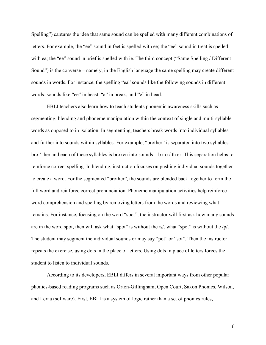Spelling") captures the idea that same sound can be spelled with many different combinations of letters. For example, the "ee" sound in feet is spelled with ee; the "ee" sound in treat is spelled with ea; the "ee" sound in brief is spelled with ie. The third concept ("Same Spelling / Different Sound") is the converse – namely, in the English language the same spelling may create different sounds in words. For instance, the spelling "ea" sounds like the following sounds in different words: sounds like "ee" in beast, "a" in break, and "e" in head.

EBLI teachers also learn how to teach students phonemic awareness skills such as segmenting, blending and phoneme manipulation within the context of single and multi-syllable words as opposed to in isolation. In segmenting, teachers break words into individual syllables and further into sounds within syllables. For example, "brother" is separated into two syllables – bro / ther and each of these syllables is broken into sounds  $-\underline{b}$  r  $\underline{o}$  / th er. This separation helps to reinforce correct spelling. In blending, instruction focuses on pushing individual sounds together to create a word. For the segmented "brother", the sounds are blended back together to form the full word and reinforce correct pronunciation. Phoneme manipulation activities help reinforce word comprehension and spelling by removing letters from the words and reviewing what remains. For instance, focusing on the word "spot", the instructor will first ask how many sounds are in the word spot, then will ask what "spot" is without the /s/, what "spot" is without the /p/. The student may segment the individual sounds or may say "pot" or "sot". Then the instructor repeats the exercise, using dots in the place of letters. Using dots in place of letters forces the student to listen to individual sounds.

According to its developers, EBLI differs in several important ways from other popular phonics-based reading programs such as Orton-Gillingham, Open Court, Saxon Phonics, Wilson, and Lexia (software). First, EBLI is a system of logic rather than a set of phonics rules,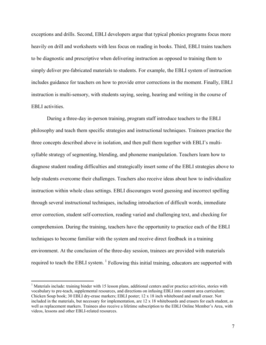exceptions and drills. Second, EBLI developers argue that typical phonics programs focus more heavily on drill and worksheets with less focus on reading in books. Third, EBLI trains teachers to be diagnostic and prescriptive when delivering instruction as opposed to training them to simply deliver pre-fabricated materials to students. For example, the EBLI system of instruction includes guidance for teachers on how to provide error corrections in the moment. Finally, EBLI instruction is multi-sensory, with students saying, seeing, hearing and writing in the course of EBLI activities.

During a three-day in-person training, program staff introduce teachers to the EBLI philosophy and teach them specific strategies and instructional techniques. Trainees practice the three concepts described above in isolation, and then pull them together with EBLI's multisyllable strategy of segmenting, blending, and phoneme manipulation. Teachers learn how to diagnose student reading difficulties and strategically insert some of the EBLI strategies above to help students overcome their challenges. Teachers also receive ideas about how to individualize instruction within whole class settings. EBLI discourages word guessing and incorrect spelling through several instructional techniques, including introduction of difficult words, immediate error correction, student self-correction, reading varied and challenging text, and checking for comprehension. During the training, teachers have the opportunity to practice each of the EBLI techniques to become familiar with the system and receive direct feedback in a training environment. At the conclusion of the three-day session, trainees are provided with materials required to teach the EBLI system.  $^1$  $^1$  Following this initial training, educators are supported with

 $\overline{a}$ 

<span id="page-7-0"></span><sup>&</sup>lt;sup>1</sup> Materials include: training binder with 15 lesson plans, additional centers and/or practice activities, stories with vocabulary to pre-teach, supplemental resources, and directions on infusing EBLI into content area curriculum; Chicken Soup book; 30 EBLI dry-erase markers; EBLI poster; 12 x 18 inch whiteboard and small eraser. Not included in the materials, but necessary for implementation, are 12 x 18 whiteboards and erasers for each student, as well as replacement markers. Trainees also receive a lifetime subscription to the EBLI Online Member's Area, with videos, lessons and other EBLI-related resources.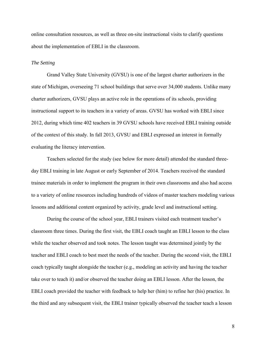online consultation resources, as well as three on-site instructional visits to clarify questions about the implementation of EBLI in the classroom.

#### *The Setting*

Grand Valley State University (GVSU) is one of the largest charter authorizers in the state of Michigan, overseeing 71 school buildings that serve over 34,000 students. Unlike many charter authorizers, GVSU plays an active role in the operations of its schools, providing instructional support to its teachers in a variety of areas. GVSU has worked with EBLI since 2012, during which time 402 teachers in 39 GVSU schools have received EBLI training outside of the context of this study. In fall 2013, GVSU and EBLI expressed an interest in formally evaluating the literacy intervention.

 Teachers selected for the study (see below for more detail) attended the standard threeday EBLI training in late August or early September of 2014. Teachers received the standard trainee materials in order to implement the program in their own classrooms and also had access to a variety of online resources including hundreds of videos of master teachers modeling various lessons and additional content organized by activity, grade level and instructional setting.

During the course of the school year, EBLI trainers visited each treatment teacher's classroom three times. During the first visit, the EBLI coach taught an EBLI lesson to the class while the teacher observed and took notes. The lesson taught was determined jointly by the teacher and EBLI coach to best meet the needs of the teacher. During the second visit, the EBLI coach typically taught alongside the teacher (e.g., modeling an activity and having the teacher take over to teach it) and/or observed the teacher doing an EBLI lesson. After the lesson, the EBLI coach provided the teacher with feedback to help her (him) to refine her (his) practice. In the third and any subsequent visit, the EBLI trainer typically observed the teacher teach a lesson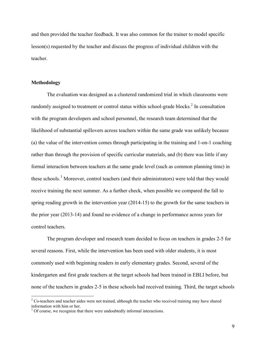and then provided the teacher feedback. It was also common for the trainer to model specific lesson(s) requested by the teacher and discuss the progress of individual children with the teacher.

## **Methodology**

 $\overline{a}$ 

 The evaluation was designed as a clustered randomized trial in which classrooms were randomly assigned to treatment or control status within school-grade blocks.<sup>[2](#page-9-0)</sup> In consultation with the program developers and school personnel, the research team determined that the likelihood of substantial spillovers across teachers within the same grade was unlikely because (a) the value of the intervention comes through participating in the training and 1-on-1 coaching rather than through the provision of specific curricular materials, and (b) there was little if any formal interaction between teachers at the same grade level (such as common planning time) in these schools.<sup>[3](#page-9-1)</sup> Moreover, control teachers (and their administrators) were told that they would receive training the next summer. As a further check, when possible we compared the fall to spring reading growth in the intervention year (2014-15) to the growth for the same teachers in the prior year (2013-14) and found no evidence of a change in performance across years for control teachers.

The program developer and research team decided to focus on teachers in grades 2-5 for several reasons. First, while the intervention has been used with older students, it is most commonly used with beginning readers in early elementary grades. Second, several of the kindergarten and first grade teachers at the target schools had been trained in EBLI before, but none of the teachers in grades 2-5 in these schools had received training. Third, the target schools

<span id="page-9-0"></span> $2^2$  Co-teachers and teacher aides were not trained, although the teacher who received training may have shared information with him or her.

<span id="page-9-1"></span> $3$  Of course, we recognize that there were undoubtedly informal interactions.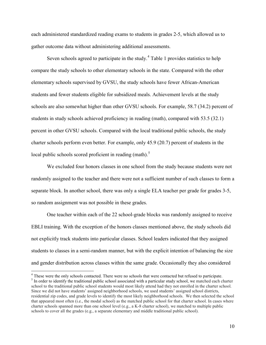each administered standardized reading exams to students in grades 2-5, which allowed us to gather outcome data without administering additional assessments.

Seven schools agreed to participate in the study.<sup>[4](#page-10-0)</sup> Table 1 provides statistics to help compare the study schools to other elementary schools in the state. Compared with the other elementary schools supervised by GVSU, the study schools have fewer African-American students and fewer students eligible for subsidized meals. Achievement levels at the study schools are also somewhat higher than other GVSU schools. For example, 58.7 (34.2) percent of students in study schools achieved proficiency in reading (math), compared with 53.5 (32.1) percent in other GVSU schools. Compared with the local traditional public schools, the study charter schools perform even better. For example, only 45.9 (20.7) percent of students in the local public schools scored proficient in reading (math).<sup>[5](#page-10-1)</sup>

We excluded four honors classes in one school from the study because students were not randomly assigned to the teacher and there were not a sufficient number of such classes to form a separate block. In another school, there was only a single ELA teacher per grade for grades 3-5, so random assignment was not possible in these grades.

One teacher within each of the 22 school-grade blocks was randomly assigned to receive EBLI training. With the exception of the honors classes mentioned above, the study schools did not explicitly track students into particular classes. School leaders indicated that they assigned students to classes in a semi-random manner, but with the explicit intention of balancing the size and gender distribution across classes within the same grade. Occasionally they also considered

 $\overline{a}$ 

<span id="page-10-1"></span><span id="page-10-0"></span><sup>&</sup>lt;sup>4</sup> These were the only schools contacted. There were no schools that were contacted but refused to participate.  $<sup>5</sup>$  In order to identify the traditional public school associated with a particular study school, we matched each charter</sup> school to the traditional public school students would most likely attend had they not enrolled in the charter school. Since we did not have students' assigned neighborhood schools, we used students' assigned school districts, residential zip codes, and grade levels to identify the most likely neighborhood schools. We then selected the school that appeared most often (i.e., the modal school) as the matched public school for that charter school. In cases where charter schools spanned more than one school level (e.g., a K-8 charter school), we matched to multiple public schools to cover all the grades (e.g., a separate elementary and middle traditional public school).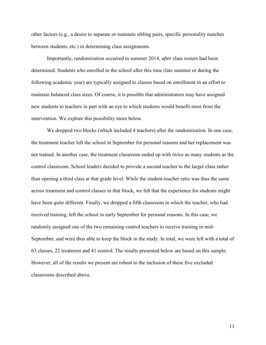other factors (e.g., a desire to separate or maintain sibling pairs, specific personality matches between students, etc.) in determining class assignments.

 Importantly, randomization occurred in summer 2014, *after* class rosters had been determined. Students who enrolled in the school after this time (late summer or during the following academic year) are typically assigned to classes based on enrollment in an effort to maintain balanced class sizes. Of course, it is possible that administrators may have assigned new students to teachers in part with an eye to which students would benefit most from the intervention. We explore this possibility more below.

We dropped two blocks (which included 4 teachers) after the randomization. In one case, the treatment teacher left the school in September for personal reasons and her replacement was not trained. In another case, the treatment classroom ended up with twice as many students as the control classroom. School leaders decided to provide a second teacher to the larger class rather than opening a third class at that grade level. While the student-teacher ratio was thus the same across treatment and control classes in that block, we felt that the experience for students might have been quite different. Finally, we dropped a fifth classroom in which the teacher, who had received training, left the school in early September for personal reasons. In this case, we randomly assigned one of the two remaining control teachers to receive training in mid-September, and were thus able to keep the block in the study. In total, we were left with a total of 63 classes, 22 treatment and 41 control. The results presented below are based on this sample. However, all of the results we present are robust to the inclusion of these five excluded classrooms described above.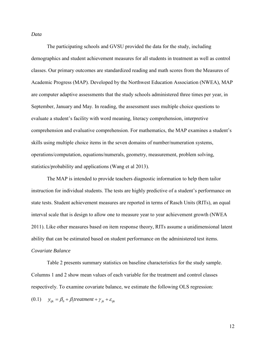*Data*

 The participating schools and GVSU provided the data for the study, including demographics and student achievement measures for all students in treatment as well as control classes. Our primary outcomes are standardized reading and math scores from the Measures of Academic Progress (MAP). Developed by the Northwest Education Association (NWEA), MAP are computer adaptive assessments that the study schools administered three times per year, in September, January and May. In reading, the assessment uses multiple choice questions to evaluate a student's facility with word meaning, literacy comprehension, interpretive comprehension and evaluative comprehension. For mathematics, the MAP examines a student's skills using multiple choice items in the seven domains of number/numeration systems, operations/computation, equations/numerals, geometry, measurement, problem solving, statistics/probability and applications (Wang et al 2013).

The MAP is intended to provide teachers diagnostic information to help them tailor instruction for individual students. The tests are highly predictive of a student's performance on state tests. Student achievement measures are reported in terms of Rasch Units (RITs), an equal interval scale that is design to allow one to measure year to year achievement growth (NWEA 2011). Like other measures based on item response theory, RITs assume a unidimensional latent ability that can be estimated based on student performance on the administered test items. *Covariate Balance* 

Table 2 presents summary statistics on baseline characteristics for the study sample. Columns 1 and 2 show mean values of each variable for the treatment and control classes respectively. To examine covariate balance, we estimate the following OLS regression:

 $(0.1)$   $y_{ijk} = \beta_0 + \beta_1 t$  *reatment* +  $\gamma_{ik} + \varepsilon_{ijk}$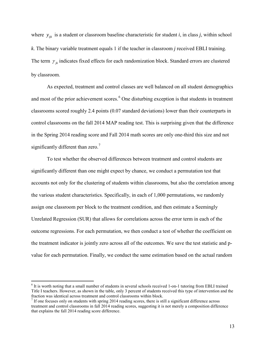where  $y_{ijk}$  is a student or classroom baseline characteristic for student *i*, in class *j*, within school *k*. The binary variable treatment equals 1 if the teacher in classroom *j* received EBLI training. The term  $\gamma_{ik}$  indicates fixed effects for each randomization block. Standard errors are clustered by classroom.

As expected, treatment and control classes are well balanced on all student demographics and most of the prior achievement scores.<sup>[6](#page-13-0)</sup> One disturbing exception is that students in treatment classrooms scored roughly 2.4 points (0.07 standard deviations) lower than their counterparts in control classrooms on the fall 2014 MAP reading test. This is surprising given that the difference in the Spring 2014 reading score and Fall 2014 math scores are only one-third this size and not significantly different than zero.<sup>[7](#page-13-1)</sup>

 To test whether the observed differences between treatment and control students are significantly different than one might expect by chance, we conduct a permutation test that accounts not only for the clustering of students within classrooms, but also the correlation among the various student characteristics. Specifically, in each of 1,000 permutations, we randomly assign one classroom per block to the treatment condition, and then estimate a Seemingly Unrelated Regression (SUR) that allows for correlations across the error term in each of the outcome regressions. For each permutation, we then conduct a test of whether the coefficient on the treatment indicator is jointly zero across all of the outcomes. We save the test statistic and pvalue for each permutation. Finally, we conduct the same estimation based on the actual random

 $\overline{a}$ 

<span id="page-13-0"></span><sup>6</sup> It is worth noting that a small number of students in several schools received 1-on-1 tutoring from EBLI trained Title I teachers. However, as shown in the table, only 3 percent of students received this type of intervention and the fraction was identical across treatment and control classrooms within block.  $\frac{7}{1}$  If one focuses only on students with spring 2014 reading scores, there is still a significant difference across

<span id="page-13-1"></span>treatment and control classrooms in fall 2014 reading scores, suggesting it is not merely a composition difference that explains the fall 2014 reading score difference.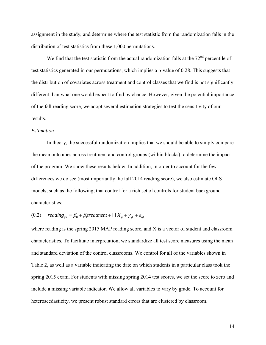assignment in the study, and determine where the test statistic from the randomization falls in the distribution of test statistics from these 1,000 permutations.

We find that the test statistic from the actual randomization falls at the  $72<sup>nd</sup>$  percentile of test statistics generated in our permutations, which implies a p-value of 0.28. This suggests that the distribution of covariates across treatment and control classes that we find is not significantly different than what one would expect to find by chance. However, given the potential importance of the fall reading score, we adopt several estimation strategies to test the sensitivity of our results.

#### *Estimation*

 In theory, the successful randomization implies that we should be able to simply compare the mean outcomes across treatment and control groups (within blocks) to determine the impact of the program. We show these results below. In addition, in order to account for the few differences we do see (most importantly the fall 2014 reading score), we also estimate OLS models, such as the following, that control for a rich set of controls for student background characteristics:

(0.2)  $reading_{ijk} = \beta_0 + \beta_1 treatment + \prod X_{ij} + \gamma_{ik} + \varepsilon_{ijk}$ 

where reading is the spring 2015 MAP reading score, and X is a vector of student and classroom characteristics. To facilitate interpretation, we standardize all test score measures using the mean and standard deviation of the control classrooms. We control for all of the variables shown in Table 2, as well as a variable indicating the date on which students in a particular class took the spring 2015 exam. For students with missing spring 2014 test scores, we set the score to zero and include a missing variable indicator. We allow all variables to vary by grade. To account for heteroscedasticity, we present robust standard errors that are clustered by classroom.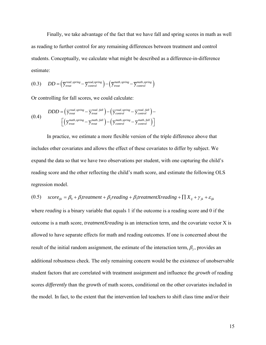Finally, we take advantage of the fact that we have fall and spring scores in math as well as reading to further control for any remaining differences between treatment and control students. Conceptually, we calculate what might be described as a difference-in-difference estimate:

$$
(0.3) \qquad DD = (\overline{y}_{\text{treat}}^{\text{read}, \text{spring}} - \overline{y}_{\text{control}}^{\text{read}, \text{spring}}) - (\overline{y}_{\text{treat}}^{\text{math}, \text{spring}} - \overline{y}_{\text{control}}^{\text{math}, \text{spring}})
$$

Or controlling for fall scores, we could calculate:

$$
(0.4) \quad DDD = \left(\overline{y}_{\text{treat}}^{\text{read}, \text{spring}} - \overline{y}_{\text{treat}}^{\text{read}, \text{fall}}\right) - \left(\overline{y}_{\text{control}}^{\text{read}, \text{spring}} - \overline{y}_{\text{control}}^{\text{read}, \text{fall}}\right) - \left(\overline{y}_{\text{treat}}^{\text{match}, \text{spring}} - \overline{y}_{\text{treat}}^{\text{math}, \text{spring}}\right)
$$

In practice, we estimate a more flexible version of the triple difference above that includes other covariates and allows the effect of these covariates to differ by subject. We expand the data so that we have two observations per student, with one capturing the child's reading score and the other reflecting the child's math score, and estimate the following OLS regression model.

$$
(0.5) \quad score_{ijk} = \beta_0 + \beta_1 treatment + \beta_2 reading + \beta_3 treatmentXreading + \prod X_{ij} + \gamma_{jk} + \varepsilon_{ijk}
$$

where *reading* is a binary variable that equals 1 if the outcome is a reading score and 0 if the outcome is a math score, *treatmentXreading* is an interaction term, and the covariate vector X is allowed to have separate effects for math and reading outcomes. If one is concerned about the result of the initial random assignment, the estimate of the interaction term,  $\beta_3$ , provides an additional robustness check. The only remaining concern would be the existence of unobservable student factors that are correlated with treatment assignment and influence the *growth* of reading scores *differently* than the growth of math scores, conditional on the other covariates included in the model. In fact, to the extent that the intervention led teachers to shift class time and/or their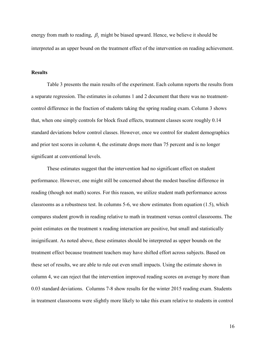energy from math to reading,  $\beta_3$  might be biased upward. Hence, we believe it should be interpreted as an upper bound on the treatment effect of the intervention on reading achievement.

## **Results**

Table 3 presents the main results of the experiment. Each column reports the results from a separate regression. The estimates in columns 1 and 2 document that there was no treatmentcontrol difference in the fraction of students taking the spring reading exam. Column 3 shows that, when one simply controls for block fixed effects, treatment classes score roughly 0.14 standard deviations below control classes. However, once we control for student demographics and prior test scores in column 4, the estimate drops more than 75 percent and is no longer significant at conventional levels.

These estimates suggest that the intervention had no significant effect on student performance. However, one might still be concerned about the modest baseline difference in reading (though not math) scores. For this reason, we utilize student math performance across classrooms as a robustness test. In columns 5-6, we show estimates from equation (1.5), which compares student growth in reading relative to math in treatment versus control classrooms. The point estimates on the treatment x reading interaction are positive, but small and statistically insignificant. As noted above, these estimates should be interpreted as upper bounds on the treatment effect because treatment teachers may have shifted effort across subjects. Based on these set of results, we are able to rule out even small impacts. Using the estimate shown in column 4, we can reject that the intervention improved reading scores on average by more than 0.03 standard deviations. Columns 7-8 show results for the winter 2015 reading exam. Students in treatment classrooms were slightly more likely to take this exam relative to students in control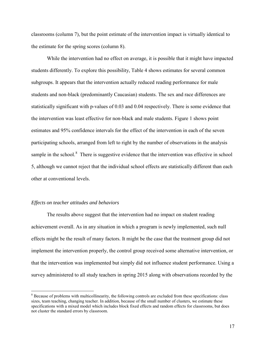classrooms (column 7), but the point estimate of the intervention impact is virtually identical to the estimate for the spring scores (column 8).

 While the intervention had no effect on average, it is possible that it might have impacted students differently. To explore this possibility, Table 4 shows estimates for several common subgroups. It appears that the intervention actually reduced reading performance for male students and non-black (predominantly Caucasian) students. The sex and race differences are statistically significant with p-values of 0.03 and 0.04 respectively. There is some evidence that the intervention was least effective for non-black and male students. Figure 1 shows point estimates and 95% confidence intervals for the effect of the intervention in each of the seven participating schools, arranged from left to right by the number of observations in the analysis sample in the school.<sup>[8](#page-17-0)</sup> There is suggestive evidence that the intervention was effective in school 5, although we cannot reject that the individual school effects are statistically different than each other at conventional levels.

#### *Effects on teacher attitudes and behaviors*

 $\overline{a}$ 

 The results above suggest that the intervention had no impact on student reading achievement overall. As in any situation in which a program is newly implemented, such null effects might be the result of many factors. It might be the case that the treatment group did not implement the intervention properly, the control group received some alternative intervention, or that the intervention was implemented but simply did not influence student performance. Using a survey administered to all study teachers in spring 2015 along with observations recorded by the

<span id="page-17-0"></span><sup>&</sup>lt;sup>8</sup> Because of problems with multicollinearity, the following controls are excluded from these specifications: class sizes, team teaching, changing teacher. In addition, because of the small number of clusters, we estimate these specifications with a mixed model which includes block fixed effects and random effects for classrooms, but does not cluster the standard errors by classroom.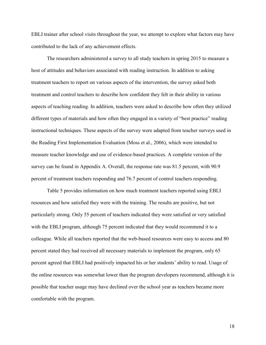EBLI trainer after school visits throughout the year, we attempt to explore what factors may have contributed to the lack of any achievement effects.

The researchers administered a survey to all study teachers in spring 2015 to measure a host of attitudes and behaviors associated with reading instruction. In addition to asking treatment teachers to report on various aspects of the intervention, the survey asked both treatment and control teachers to describe how confident they felt in their ability in various aspects of teaching reading. In addition, teachers were asked to describe how often they utilized different types of materials and how often they engaged in a variety of "best practice" reading instructional techniques. These aspects of the survey were adapted from teacher surveys used in the Reading First Implementation Evaluation (Moss et al., 2006), which were intended to measure teacher knowledge and use of evidence-based practices. A complete version of the survey can be found in Appendix A. Overall, the response rate was 81.5 percent, with 90.9 percent of treatment teachers responding and 76.7 percent of control teachers responding.

Table 5 provides information on how much treatment teachers reported using EBLI resources and how satisfied they were with the training. The results are positive, but not particularly strong. Only 55 percent of teachers indicated they were satisfied or very satisfied with the EBLI program, although 75 percent indicated that they would recommend it to a colleague. While all teachers reported that the web-based resources were easy to access and 80 percent stated they had received all necessary materials to implement the program, only 65 percent agreed that EBLI had positively impacted his or her students' ability to read. Usage of the online resources was somewhat lower than the program developers recommend, although it is possible that teacher usage may have declined over the school year as teachers became more comfortable with the program.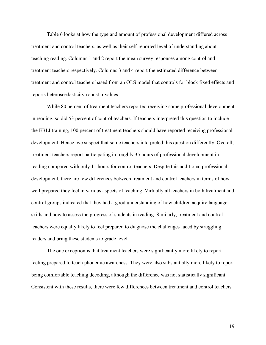Table 6 looks at how the type and amount of professional development differed across treatment and control teachers, as well as their self-reported level of understanding about teaching reading. Columns 1 and 2 report the mean survey responses among control and treatment teachers respectively. Columns 3 and 4 report the estimated difference between treatment and control teachers based from an OLS model that controls for block fixed effects and reports heteroscedasticity-robust p-values.

 While 80 percent of treatment teachers reported receiving some professional development in reading, so did 53 percent of control teachers. If teachers interpreted this question to include the EBLI training, 100 percent of treatment teachers should have reported receiving professional development. Hence, we suspect that some teachers interpreted this question differently. Overall, treatment teachers report participating in roughly 35 hours of professional development in reading compared with only 11 hours for control teachers. Despite this additional professional development, there are few differences between treatment and control teachers in terms of how well prepared they feel in various aspects of teaching. Virtually all teachers in both treatment and control groups indicated that they had a good understanding of how children acquire language skills and how to assess the progress of students in reading. Similarly, treatment and control teachers were equally likely to feel prepared to diagnose the challenges faced by struggling readers and bring these students to grade level.

 The one exception is that treatment teachers were significantly more likely to report feeling prepared to teach phonemic awareness. They were also substantially more likely to report being comfortable teaching decoding, although the difference was not statistically significant. Consistent with these results, there were few differences between treatment and control teachers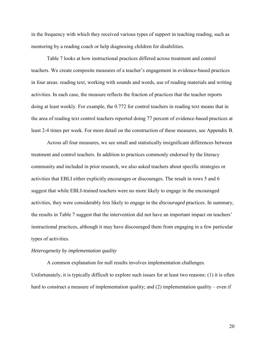in the frequency with which they received various types of support in teaching reading, such as mentoring by a reading coach or help diagnosing children for disabilities.

Table 7 looks at how instructional practices differed across treatment and control teachers. We create composite measures of a teacher's engagement in evidence-based practices in four areas: reading text, working with sounds and words, use of reading materials and writing activities. In each case, the measure reflects the fraction of practices that the teacher reports doing at least weekly. For example, the 0.772 for control teachers in reading text means that in the area of reading text control teachers reported doing 77 percent of evidence-based practices at least 2-4 times per week. For more detail on the construction of these measures, see Appendix B.

Across all four measures, we see small and statistically insignificant differences between treatment and control teachers. In addition to practices commonly endorsed by the literacy community and included in prior research, we also asked teachers about specific strategies or activities that EBLI either explicitly encourages or discourages. The result in rows 5 and 6 suggest that while EBLI-trained teachers were no more likely to engage in the encouraged activities, they were considerably *less* likely to engage in the *discouraged* practices. In summary, the results in Table 7 suggest that the intervention did not have an important impact on teachers' instructional practices, although it may have discouraged them from engaging in a few particular types of activities.

#### *Heterogeneity by implementation quality*

A common explanation for null results involves implementation challenges. Unfortunately, it is typically difficult to explore such issues for at least two reasons: (1) it is often hard to construct a measure of implementation quality; and (2) implementation quality – even if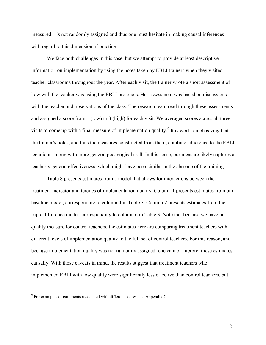measured – is not randomly assigned and thus one must hesitate in making causal inferences with regard to this dimension of practice.

We face both challenges in this case, but we attempt to provide at least descriptive information on implementation by using the notes taken by EBLI trainers when they visited teacher classrooms throughout the year. After each visit, the trainer wrote a short assessment of how well the teacher was using the EBLI protocols. Her assessment was based on discussions with the teacher and observations of the class. The research team read through these assessments and assigned a score from 1 (low) to 3 (high) for each visit. We averaged scores across all three visits to come up with a final measure of implementation quality.<sup>[9](#page-21-0)</sup> It is worth emphasizing that the trainer's notes, and thus the measures constructed from them, combine adherence to the EBLI techniques along with more general pedagogical skill. In this sense, our measure likely captures a teacher's general effectiveness, which might have been similar in the absence of the training.

Table 8 presents estimates from a model that allows for interactions between the treatment indicator and terciles of implementation quality. Column 1 presents estimates from our baseline model, corresponding to column 4 in Table 3. Column 2 presents estimates from the triple difference model, corresponding to column 6 in Table 3. Note that because we have no quality measure for control teachers, the estimates here are comparing treatment teachers with different levels of implementation quality to the full set of control teachers. For this reason, and because implementation quality was not randomly assigned, one cannot interpret these estimates causally. With those caveats in mind, the results suggest that treatment teachers who implemented EBLI with low quality were significantly less effective than control teachers, but

 $\overline{a}$ 

<span id="page-21-0"></span><sup>&</sup>lt;sup>9</sup> For examples of comments associated with different scores, see Appendix C.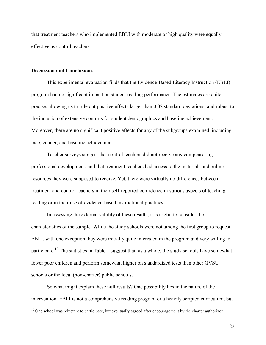that treatment teachers who implemented EBLI with moderate or high quality were equally effective as control teachers.

#### **Discussion and Conclusions**

 $\overline{a}$ 

This experimental evaluation finds that the Evidence-Based Literacy Instruction (EBLI) program had no significant impact on student reading performance. The estimates are quite precise, allowing us to rule out positive effects larger than 0.02 standard deviations, and robust to the inclusion of extensive controls for student demographics and baseline achievement. Moreover, there are no significant positive effects for any of the subgroups examined, including race, gender, and baseline achievement.

Teacher surveys suggest that control teachers did not receive any compensating professional development, and that treatment teachers had access to the materials and online resources they were supposed to receive. Yet, there were virtually no differences between treatment and control teachers in their self-reported confidence in various aspects of teaching reading or in their use of evidence-based instructional practices.

In assessing the external validity of these results, it is useful to consider the characteristics of the sample. While the study schools were not among the first group to request EBLI, with one exception they were initially quite interested in the program and very willing to participate.[10](#page-22-0) The statistics in Table 1 suggest that, as a whole, the study schools have somewhat fewer poor children and perform somewhat higher on standardized tests than other GVSU schools or the local (non-charter) public schools.

So what might explain these null results? One possibility lies in the nature of the intervention. EBLI is not a comprehensive reading program or a heavily scripted curriculum, but

<span id="page-22-0"></span><sup>&</sup>lt;sup>10</sup> One school was reluctant to participate, but eventually agreed after encouragement by the charter authorizer.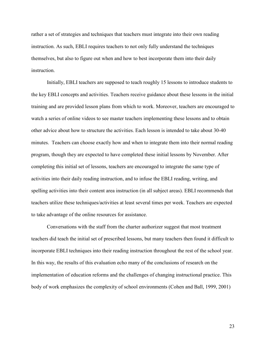rather a set of strategies and techniques that teachers must integrate into their own reading instruction. As such, EBLI requires teachers to not only fully understand the techniques themselves, but also to figure out when and how to best incorporate them into their daily **instruction** 

Initially, EBLI teachers are supposed to teach roughly 15 lessons to introduce students to the key EBLI concepts and activities. Teachers receive guidance about these lessons in the initial training and are provided lesson plans from which to work. Moreover, teachers are encouraged to watch a series of online videos to see master teachers implementing these lessons and to obtain other advice about how to structure the activities. Each lesson is intended to take about 30-40 minutes. Teachers can choose exactly how and when to integrate them into their normal reading program, though they are expected to have completed these initial lessons by November. After completing this initial set of lessons, teachers are encouraged to integrate the same type of activities into their daily reading instruction, and to infuse the EBLI reading, writing, and spelling activities into their content area instruction (in all subject areas). EBLI recommends that teachers utilize these techniques/activities at least several times per week. Teachers are expected to take advantage of the online resources for assistance.

Conversations with the staff from the charter authorizer suggest that most treatment teachers did teach the initial set of prescribed lessons, but many teachers then found it difficult to incorporate EBLI techniques into their reading instruction throughout the rest of the school year. In this way, the results of this evaluation echo many of the conclusions of research on the implementation of education reforms and the challenges of changing instructional practice. This body of work emphasizes the complexity of school environments (Cohen and Ball, 1999, 2001)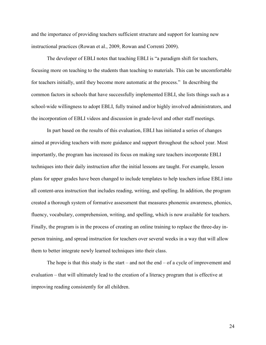and the importance of providing teachers sufficient structure and support for learning new instructional practices (Rowan et al., 2009, Rowan and Correnti 2009).

The developer of EBLI notes that teaching EBLI is "a paradigm shift for teachers, focusing more on teaching to the students than teaching to materials. This can be uncomfortable for teachers initially, until they become more automatic at the process." In describing the common factors in schools that have successfully implemented EBLI, she lists things such as a school-wide willingness to adopt EBLI, fully trained and/or highly involved administrators, and the incorporation of EBLI videos and discussion in grade-level and other staff meetings.

In part based on the results of this evaluation, EBLI has initiated a series of changes aimed at providing teachers with more guidance and support throughout the school year. Most importantly, the program has increased its focus on making sure teachers incorporate EBLI techniques into their daily instruction after the initial lessons are taught. For example, lesson plans for upper grades have been changed to include templates to help teachers infuse EBLI into all content-area instruction that includes reading, writing, and spelling. In addition, the program created a thorough system of formative assessment that measures phonemic awareness, phonics, fluency, vocabulary, comprehension, writing, and spelling, which is now available for teachers. Finally, the program is in the process of creating an online training to replace the three-day inperson training, and spread instruction for teachers over several weeks in a way that will allow them to better integrate newly learned techniques into their class.

The hope is that this study is the start – and not the end – of a cycle of improvement and evaluation – that will ultimately lead to the creation of a literacy program that is effective at improving reading consistently for all children.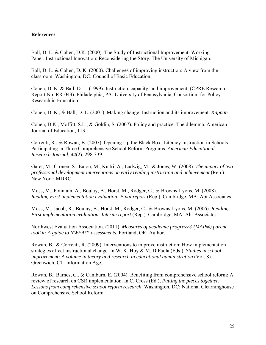## **References**

Ball, D. L. & Cohen, D.K. (2000). The Study of Instructional Improvement. Working Paper. [Instructional Innovation: Reconsidering the Story.](http://www-personal.umich.edu/%7Edkcohen/downloads/InstructionalInnovation.PDF) The University of Michigan.

Ball, D. L. & Cohen, D. K. (2000). [Challenges of improving instruction: A view from the](http://www-personal.umich.edu/%7Edkcohen/downloads/ws1999ball.pdf)  [classroom.](http://www-personal.umich.edu/%7Edkcohen/downloads/ws1999ball.pdf) Washington, DC: Council of Basic Education.

Cohen, D. K. & Ball, D. L. (1999). [Instruction, capacity, and improvement.](http://www-personal.umich.edu/%7Edkcohen/downloads/instruction_capacity.pdf) (CPRE Research Report No. RR-043). Philadelphia, PA: University of Pennsylvania, Consortium for Policy Research in Education.

Cohen, D. K., & Ball, D. L. (2001). [Making change: Instruction and its improvement.](http://www-personal.umich.edu/%7Edkcohen/downloads/CohenBallKappan.pdf) *Kappan*.

Cohen, D.K., Moffitt, S.L., & Goldin, S. (2007). [Policy and practice: The dilemma.](http://www.journals.uchicago.edu/doi/pdf/10.1086/518487) American Journal of Education, 113.

Correnti, R., & Rowan, B. (2007). Opening Up the Black Box: Literacy Instruction in Schools Participating in Three Comprehensive School Reform Programs. *American Educational Research Journal, 44*(2), 298-339.

Garet, M., Cronen, S., Eaton, M., Kurki, A., Ludwig, M., & Jones, W. (2008). *The impact of two professional development interventions on early reading instruction and achievement* (Rep.). New York: MDRC.

Moss, M., Fountain, A., Boulay, B., Horst, M., Rodger, C., & Browns-Lyons, M. (2008). *Reading First implementation evaluation: Final report* (Rep.). Cambridge, MA: Abt Associates.

Moss, M., Jacob, R., Boulay, B., Horst, M., Rodger, C., & Browns-Lyons, M. (2006). *Reading First implementation evaluation: Interim report* (Rep.). Cambridge, MA: Abt Associates.

Northwest Evaluation Association. (2011). *Measures of academic progress® (MAP®) parent toolkit: A guide to NWEA™ assessments*. Portland, OR: Author.

Rowan, B., & Correnti, R. (2009). Interventions to improve instruction: How implementation strategies affect instructional change. In W. K. Hoy & M. DiPaola (Eds.), *Studies in school improvement: A volume in theory and research in educational administration* (Vol. 8). Greenwich, CT: Information Age.

Rowan, B., Barnes, C., & Camburn, E. (2004). Benefiting from comprehensive school reform: A review of research on CSR implementation. In C. Cross (Ed.), *Putting the pieces together: Lessons from comprehensive school reform research*. Washington, DC: National Clearninghouse on Comprehensive School Reform.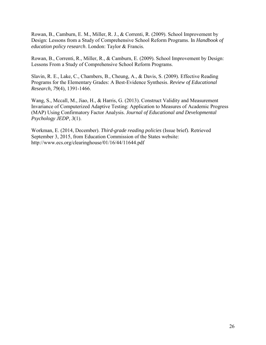Rowan, B., Camburn, E. M., Miller, R. J., & Correnti, R. (2009). School Improvement by Design: Lessons from a Study of Comprehensive School Reform Programs. In *Handbook of education policy research*. London: Taylor & Francis.

Rowan, B., Correnti, R., Miller, R., & Camburn, E. (2009). School Improvement by Design: Lessons From a Study of Comprehensive School Reform Programs.

Slavin, R. E., Lake, C., Chambers, B., Cheung, A., & Davis, S. (2009). Effective Reading Programs for the Elementary Grades: A Best-Evidence Synthesis. *Review of Educational Research, 79*(4), 1391-1466.

Wang, S., Mccall, M., Jiao, H., & Harris, G. (2013). Construct Validity and Measurement Invariance of Computerized Adaptive Testing: Application to Measures of Academic Progress (MAP) Using Confirmatory Factor Analysis. *Journal of Educational and Developmental Psychology JEDP, 3*(1).

Workman, E. (2014, December). *Third-grade reading policies* (Issue brief). Retrieved September 3, 2015, from Education Commission of the States website: http://www.ecs.org/clearinghouse/01/16/44/11644.pdf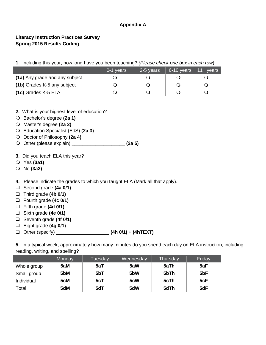## **Appendix A**

## **Literacy Instruction Practices Survey Spring 2015 Results Coding**

**1.** Including this year, how long have you been teaching? *(Please check one box in each row*).

|                                | 0-1 years | 2-5 years | 6-10 years | $11 +$ years |
|--------------------------------|-----------|-----------|------------|--------------|
| (1a) Any grade and any subject |           |           |            |              |
| (1b) Grades K-5 any subject    |           |           |            |              |
| (1c) Grades K-5 ELA            |           |           |            |              |

- **2.** What is your highest level of education?
- Bachelor's degree **(2a 1)**
- Master's degree **(2a 2)**
- Education Specialist (EdS) **(2a 3)**
- Doctor of Philosophy **(2a 4)**
- Other (please explain) \_\_\_\_\_\_\_\_\_\_\_\_\_\_\_\_\_\_\_\_ **(2a 5)**
- **3.** Did you teach ELA this year?
- Yes **(3a1)**
- No **(3a2)**
- **4.** Please indicate the grades to which you taught ELA (Mark all that apply).
- Second grade **(4a 0/1)**
- Third grade **(4b 0/1)**
- Fourth grade **(4c 0/1)**
- Fifth grade **(4d 0/1)**
- Sixth grade **(4e 0/1)**
- Seventh grade **(4f 0/1)**
- Eight grade **(4g 0/1)**
- Other (specify) \_\_\_\_\_\_\_\_\_\_\_\_\_\_\_\_\_\_\_\_ **(4h 0/1) + (4hTEXT)**

**5.** In a typical week, approximately how many minutes do you spend each day on ELA instruction, including reading, writing, and spelling?

|             | Monday | Tuesday | Wednesday        | Thursday | Friday          |
|-------------|--------|---------|------------------|----------|-----------------|
| Whole group | 5aM    | 5aT     | 5aW              | 5aTh     | 5aF             |
| Small group | 5bM    | 5bT     | 5 <sub>b</sub> W | 5bTh     | 5 <sub>bF</sub> |
| Individual  | 5cM    | 5cT     | 5cW              | 5cTh     | 5cF             |
| Total       | 5dM    | 5dT     | 5dW              | 5dTh     | 5dF             |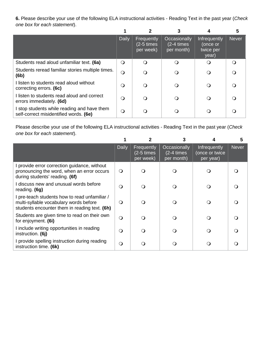**6.** Please describe your use of the following ELA instructional activities - Reading Text in the past year (*Check one box for each statement*).

|                                                                                       |              |                                       |                                                |                                                       | 5            |
|---------------------------------------------------------------------------------------|--------------|---------------------------------------|------------------------------------------------|-------------------------------------------------------|--------------|
|                                                                                       | <b>Daily</b> | Frequently<br>(2-5 times<br>per week) | Occasionally<br>$(2-4 \times s)$<br>per month) | <b>Infrequently</b><br>(once or<br>twice per<br>year) | <b>Never</b> |
| Students read aloud unfamiliar text. (6a)                                             | $\circ$      | O                                     | ∩                                              |                                                       |              |
| Students reread familiar stories multiple times.<br>(6b)                              | $\circ$      | Ω                                     |                                                |                                                       |              |
| I listen to students read aloud without<br>correcting errors. (6c)                    | O            | O                                     | $\Omega$                                       |                                                       |              |
| I listen to students read aloud and correct<br>errors immediately. (6d)               | $\Omega$     | 0                                     |                                                |                                                       |              |
| I stop students while reading and have them<br>self-correct misidentified words. (6e) | $\Omega$     | 0                                     |                                                |                                                       |              |

Please describe your use of the following ELA instructional activities - Reading Text in the past year (*Check one box for each statement*).

|                                                                                                                                          |              |                                             |                                                |                                             | 5            |
|------------------------------------------------------------------------------------------------------------------------------------------|--------------|---------------------------------------------|------------------------------------------------|---------------------------------------------|--------------|
|                                                                                                                                          | <b>Daily</b> | Frequently<br>$(2-5 \times s)$<br>per week) | Occasionally<br>$(2-4 \times s)$<br>per month) | Infrequently<br>(once or twice<br>per year) | <b>Never</b> |
| I provide error correction guidance, without<br>pronouncing the word, when an error occurs<br>during students' reading. (6f)             | $\circ$      |                                             |                                                |                                             |              |
| I discuss new and unusual words before<br>reading. (6g)                                                                                  | Q            | ∩                                           | ∩                                              | 0                                           |              |
| I pre-teach students how to read unfamiliar /<br>multi-syllable vocabulary words before<br>students encounter them in reading text. (6h) | $\circ$      |                                             |                                                |                                             |              |
| Students are given time to read on their own<br>for enjoyment. (6i)                                                                      | $\Omega$     |                                             |                                                | ∩                                           |              |
| I include writing opportunities in reading<br>instruction. (6j)                                                                          | O            |                                             |                                                |                                             |              |
| I provide spelling instruction during reading<br>instruction time. (6k)                                                                  | O            |                                             |                                                |                                             |              |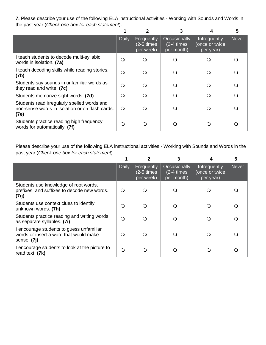**7.** Please describe your use of the following ELA instructional activities - Working with Sounds and Words in the past year (*Check one box for each statement*).

|                                                                                                        |              |                                             |                                                |                                             | 5            |
|--------------------------------------------------------------------------------------------------------|--------------|---------------------------------------------|------------------------------------------------|---------------------------------------------|--------------|
|                                                                                                        | <b>Daily</b> | Frequently<br>$(2-5 \times s)$<br>per week) | Occasionally<br>$(2-4 \times s)$<br>per month) | Infrequently<br>(once or twice<br>per year) | <b>Never</b> |
| I teach students to decode multi-syllabic<br>words in isolation. (7a)                                  | $\bigcirc$   | ∩                                           |                                                |                                             |              |
| I teach decoding skills while reading stories.<br>(7b)                                                 | Q            |                                             |                                                |                                             |              |
| Students say sounds in unfamiliar words as<br>they read and write. (7c)                                | $\Omega$     |                                             |                                                | ∩                                           |              |
| Students memorize sight words. (7d)                                                                    | $\circ$      | ∩                                           |                                                |                                             |              |
| Students read irregularly spelled words and<br>non-sense words in isolation or on flash cards.<br>(7e) | $\Omega$     |                                             |                                                | ( )                                         |              |
| Students practice reading high frequency<br>words for automatically. (7f)                              | $\Omega$     |                                             |                                                |                                             |              |

Please describe your use of the following ELA instructional activities - Working with Sounds and Words in the past year (*Check one box for each statement*).

|                                                                                                   | <b>Daily</b> | Frequently<br>$(2-5 \times s)$<br>per week) | Occasionally<br>$(2-4 \times)$<br>per month) | Infrequently<br>(once or twice<br>per year) | <b>Never</b> |
|---------------------------------------------------------------------------------------------------|--------------|---------------------------------------------|----------------------------------------------|---------------------------------------------|--------------|
| Students use knowledge of root words,<br>prefixes, and suffixes to decode new words.<br>(7g)      | $\Omega$     | ∩                                           |                                              |                                             |              |
| Students use context clues to identify<br>unknown words. (7h)                                     | $\Omega$     |                                             |                                              |                                             |              |
| Students practice reading and writing words<br>as separate syllables. (7i)                        | $\Omega$     |                                             |                                              |                                             |              |
| I encourage students to guess unfamiliar<br>words or insert a word that would make<br>sense. (7j) | $\Omega$     |                                             |                                              |                                             |              |
| I encourage students to look at the picture to<br>read text. (7k)                                 | $\circ$      |                                             |                                              |                                             |              |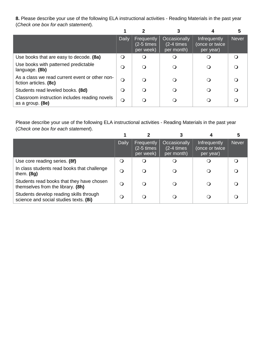**8.** Please describe your use of the following ELA instructional activities - Reading Materials in the past year (*Check one box for each statement*).

|                                                                          |          |                                             |                                                |                                             | 5            |
|--------------------------------------------------------------------------|----------|---------------------------------------------|------------------------------------------------|---------------------------------------------|--------------|
|                                                                          | Daily    | Frequently<br>$(2-5 \times s)$<br>per week) | Occasionally<br>$(2-4 \times s)$<br>per month) | Infrequently<br>(once or twice<br>per year) | <b>Never</b> |
| Use books that are easy to decode. (8a)                                  | $\circ$  | $\Omega$                                    |                                                |                                             |              |
| Use books with patterned predictable<br>language. (8b)                   | $\Omega$ | ∩                                           |                                                |                                             |              |
| As a class we read current event or other non-<br>fiction articles. (8c) | $\Omega$ | ∩                                           |                                                |                                             |              |
| Students read leveled books. (8d)                                        | Q        | ∩                                           |                                                |                                             |              |
| Classroom instruction includes reading novels<br>as a group. (8e)        | O        |                                             |                                                |                                             |              |

Please describe your use of the following ELA instructional activities - Reading Materials in the past year (*Check one box for each statement*).

|                                                                                   | <b>Daily</b> | Frequently<br>$(2-5 \times s)$<br>per week) | Occasionally<br>$(2-4 \times s)$<br>per month) | Infrequently<br>(once or twice<br>per year) | Never |
|-----------------------------------------------------------------------------------|--------------|---------------------------------------------|------------------------------------------------|---------------------------------------------|-------|
| Use core reading series. (8f)                                                     | $\circ$      |                                             |                                                |                                             |       |
| In class students read books that challenge<br>them. $(8g)$                       | $\Omega$     | ∩                                           |                                                |                                             |       |
| Students read books that they have chosen<br>themselves from the library. (8h)    | $\Omega$     | ∩                                           |                                                |                                             |       |
| Students develop reading skills through<br>science and social studies texts. (8i) | $\Omega$     |                                             |                                                |                                             |       |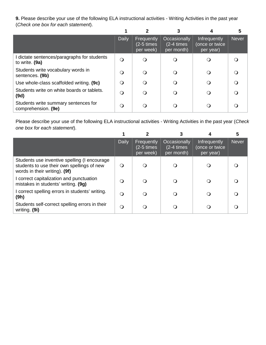**9.** Please describe your use of the following ELA instructional activities - Writing Activities in the past year (*Check one box for each statement*).

|                                                               | <b>Daily</b> | Frequently<br>$(2-5 \times s)$<br>per week) | Occasionally<br>$(2-4 \times)$<br>per month) | Infrequently<br>(once or twice<br>per year) | <b>Never</b> |
|---------------------------------------------------------------|--------------|---------------------------------------------|----------------------------------------------|---------------------------------------------|--------------|
| I dictate sentences/paragraphs for students<br>to write. (9a) | $\bigcirc$   | $\Omega$                                    |                                              |                                             |              |
| Students write vocabulary words in<br>sentences. (9b)         | $\Omega$     |                                             |                                              |                                             |              |
| Use whole-class scaffolded writing. (9c)                      | $\Omega$     |                                             |                                              |                                             |              |
| Students write on white boards or tablets.<br>(9d)            | $\Omega$     |                                             |                                              |                                             |              |
| Students write summary sentences for<br>comprehension. (9e)   | $\Omega$     |                                             |                                              |                                             |              |

Please describe your use of the following ELA instructional activities - Writing Activities in the past year (*Check one box for each statement*).

|                                                                                                                             |          |                                             |                                                |                                             | 5            |
|-----------------------------------------------------------------------------------------------------------------------------|----------|---------------------------------------------|------------------------------------------------|---------------------------------------------|--------------|
|                                                                                                                             | Daily    | Frequently<br>$(2-5 \times s)$<br>per week) | Occasionally<br>$(2-4 \times s)$<br>per month) | Infrequently<br>(once or twice<br>per year) | <b>Never</b> |
| Students use inventive spelling (I encourage<br>students to use their own spellings of new<br>words in their writing). (9f) | $\Omega$ | ∩                                           |                                                |                                             |              |
| I correct capitalization and punctuation<br>mistakes in students' writing. (9g)                                             | $\Omega$ | ∩                                           |                                                |                                             |              |
| I correct spelling errors in students' writing.<br>(9h)                                                                     | $\Omega$ | $\Omega$                                    |                                                |                                             |              |
| Students self-correct spelling errors in their<br>writing. (9i)                                                             | $\Omega$ | ∩                                           |                                                |                                             |              |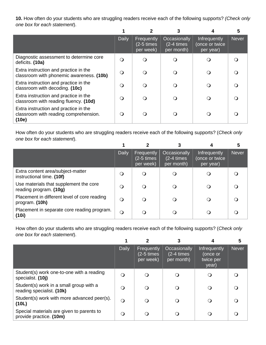**10.** How often do your students who are struggling readers receive each of the following supports? *(Check only one box for each statement*).

|                                                                                         |              |                                             |                                                |                                                    | 5     |
|-----------------------------------------------------------------------------------------|--------------|---------------------------------------------|------------------------------------------------|----------------------------------------------------|-------|
|                                                                                         | <b>Daily</b> | Frequently<br>$(2-5 \times s)$<br>per week) | Occasionally<br>$(2-4 \times s)$<br>per month) | <b>Infrequently</b><br>(once or twice<br>per year) | Never |
| Diagnostic assessment to determine core<br>deficits. (10a)                              | $\Omega$     |                                             |                                                |                                                    |       |
| Extra instruction and practice in the<br>classroom with phonemic awareness. (10b)       | $\Omega$     |                                             |                                                |                                                    |       |
| Extra instruction and practice in the<br>classroom with decoding. (10c)                 | $\Omega$     |                                             |                                                |                                                    |       |
| Extra instruction and practice in the<br>classroom with reading fluency. (10d)          | $\Omega$     |                                             |                                                |                                                    |       |
| Extra instruction and practice in the<br>classroom with reading comprehension.<br>(10e) | ∩            |                                             |                                                |                                                    |       |

How often do your students who are struggling readers receive each of the following supports? (*Check only one box for each statement*).

|                                                                  |          |                                             |                                                |                                             | 5            |
|------------------------------------------------------------------|----------|---------------------------------------------|------------------------------------------------|---------------------------------------------|--------------|
|                                                                  | Daily    | Frequently<br>$(2-5 \times s)$<br>per week) | Occasionally<br>$(2-4 \times s)$<br>per month) | Infrequently<br>(once or twice<br>per year) | <b>Never</b> |
| Extra content area/subject-matter<br>instructional time. (10f)   | O        |                                             |                                                |                                             |              |
| Use materials that supplement the core<br>reading program. (10g) | $\Omega$ |                                             |                                                |                                             |              |
| Placement in different level of core reading<br>program. (10h)   | $\Omega$ |                                             |                                                |                                             |              |
| Placement in separate core reading program.<br>(10i)             | $\Omega$ |                                             |                                                |                                             |              |

How often do your students who are struggling readers receive each of the following supports? (*Check only one box for each statement*).

|                                                                      |              |                                             |                                          |                                                | 5            |
|----------------------------------------------------------------------|--------------|---------------------------------------------|------------------------------------------|------------------------------------------------|--------------|
|                                                                      | <b>Daily</b> | Frequently<br>$(2-5 \times s)$<br>per week) | Occasionally<br>(2-4 times<br>per month) | Infrequently<br>(once or<br>twice per<br>year) | <b>Never</b> |
| Student(s) work one-to-one with a reading<br>specialist. (10j)       | $\Omega$     | O                                           |                                          |                                                |              |
| Student(s) work in a small group with a<br>reading specialist. (10k) | $\Omega$     | $\Omega$                                    | Ő                                        |                                                |              |
| Student(s) work with more advanced peer(s).<br>(10L)                 | $\circ$      | $\Omega$                                    | O                                        |                                                |              |
| Special materials are given to parents to<br>provide practice. (10m) | $\Omega$     | Q                                           |                                          |                                                |              |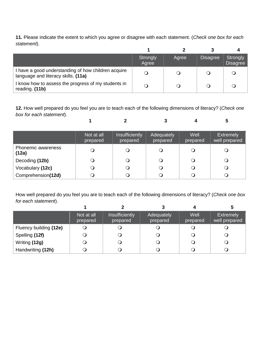**11.** Please indicate the extent to which you agree or disagree with each statement. (*Check one box for each statement*).

|                                                                                            | Strongly<br>Agree | Agree | <b>Disagree</b> | Strongly<br><b>Disagree</b> |
|--------------------------------------------------------------------------------------------|-------------------|-------|-----------------|-----------------------------|
| I have a good understanding of how children acquire<br>language and literacy skills. (11a) |                   |       |                 |                             |
| I know how to assess the progress of my students in<br>reading. (11b)                      |                   |       |                 |                             |

**12.** How well prepared do you feel you are to teach each of the following dimensions of literacy? (*Check one box for each statement*).

 **1 2 3 4 5**

|                             | Not at all<br>prepared | Insufficiently<br>prepared | Adequately<br>prepared | Well<br>prepared | <b>Extremely</b><br>well prepared |
|-----------------------------|------------------------|----------------------------|------------------------|------------------|-----------------------------------|
| Phonemic awareness<br>(12a) |                        | Q                          |                        |                  |                                   |
| Decoding (12b)              |                        | Q                          |                        | ၪ                | $\cup$                            |
| Vocabulary (12c)            |                        | Q                          |                        |                  |                                   |
| Comprehension(12d)          |                        | Q                          |                        |                  |                                   |

How well prepared do you feel you are to teach each of the following dimensions of literacy? (*Check one box for each statement*).

|                        | Not at all<br>prepared | Insufficiently<br>prepared | Adequately<br>prepared | Well<br>prepared | <b>Extremely</b><br>well prepared |
|------------------------|------------------------|----------------------------|------------------------|------------------|-----------------------------------|
| Fluency building (12e) |                        |                            |                        |                  |                                   |
| Spelling (12f)         |                        |                            |                        |                  |                                   |
| Writing (12g)          |                        |                            |                        |                  |                                   |
| Handwriting (12h)      |                        |                            |                        |                  |                                   |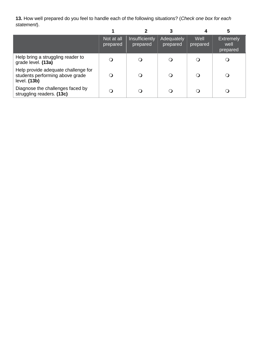**13.** How well prepared do you feel to handle each of the following situations? (*Check one box for each statement*).  **1 2 3 4 5**

|                                                                                        | Not at all<br>prepared | Insufficiently<br>prepared | Adequately<br>prepared | Well<br>prepared | <b>Extremely</b><br>well<br>prepared |
|----------------------------------------------------------------------------------------|------------------------|----------------------------|------------------------|------------------|--------------------------------------|
| Help bring a struggling reader to<br>grade level. (13a)                                |                        |                            | O                      |                  |                                      |
| Help provide adequate challenge for<br>students performing above grade<br>level. (13b) |                        | $\Omega$                   | $\Omega$               |                  |                                      |
| Diagnose the challenges faced by<br>struggling readers. (13c)                          |                        |                            |                        |                  |                                      |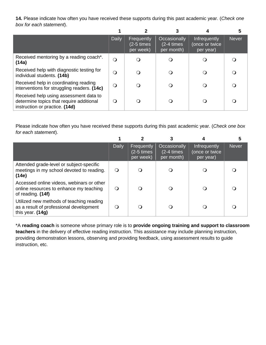**14.** Please indicate how often you have received these supports during this past academic year. (*Check one box for each statement*).

|                                                                                                                      | <b>Daily</b> | Frequently<br>$(2-5 \times s)$<br>per week) | Occasionally<br>$(2-4 \times)$<br>per month) | <b>Infrequently</b><br>(once or twice<br>per year) | <b>Never</b> |
|----------------------------------------------------------------------------------------------------------------------|--------------|---------------------------------------------|----------------------------------------------|----------------------------------------------------|--------------|
| Received mentoring by a reading coach*.<br>(14a)                                                                     | $\Omega$     |                                             | 0                                            |                                                    |              |
| Received help with diagnostic testing for<br>individual students. (14b)                                              | O            |                                             | 0                                            |                                                    |              |
| Received help in coordinating reading<br>interventions for struggling readers. (14c)                                 | $\bigcirc$   |                                             | $\cup$                                       |                                                    |              |
| Received help using assessment data to<br>determine topics that require additional<br>instruction or practice. (14d) | O            |                                             | 0                                            |                                                    |              |

Please indicate how often you have received these supports during this past academic year. (*Check one box for each statement*).

|                                                                                                           | <b>Daily</b> | Frequently<br>$(2-5 \times s)$<br>per week) | Occasionally<br>$(2-4 \times)$<br>per month) | Infrequently<br>(once or twice<br>per year) | <b>Never</b> |
|-----------------------------------------------------------------------------------------------------------|--------------|---------------------------------------------|----------------------------------------------|---------------------------------------------|--------------|
| Attended grade-level or subject-specific<br>meetings in my school devoted to reading.<br>(14e)            | $\Omega$     | Ő                                           |                                              |                                             |              |
| Accessed online videos, webinars or other<br>online resources to enhance my teaching<br>of reading. (14f) | $\Omega$     | Q                                           |                                              |                                             |              |
| Utilized new methods of teaching reading<br>as a result of professional development<br>this year. $(14g)$ | ∩            |                                             |                                              |                                             |              |

\*A **reading coach** is someone whose primary role is to **provide ongoing training and support to classroom teachers** in the delivery of effective reading instruction. This assistance may include planning instruction, providing demonstration lessons, observing and providing feedback, using assessment results to guide instruction, etc.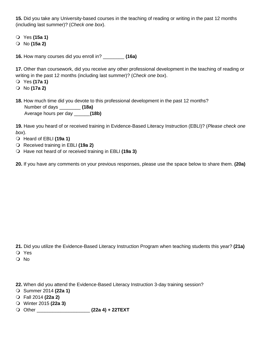**15.** Did you take any University-based courses in the teaching of reading or writing in the past 12 months (including last summer)? (*Check one box*).

Yes **(15a 1)**

No **(15a 2)**

**16.** How many courses did you enroll in? \_\_\_\_\_\_\_\_ **(16a)**

**17.** Other than coursework, did you receive any other professional development in the teaching of reading or writing in the past 12 months (including last summer)? (*Check one box*).

- Yes **(17a 1)**
- No **(17a 2)**
- **18.** How much time did you devote to this professional development in the past 12 months? Number of days \_\_\_\_\_\_\_\_ **(18a)** Average hours per day \_\_\_\_\_\_**(18b)**

**19.** Have you heard of or received training in Evidence-Based Literacy Instruction (EBLI)? (*Please check one box*).

- Heard of EBLI **(19a 1)**
- Received training in EBLI **(19a 2)**
- Have not heard of or received training in EBLI **(19a 3)**

**20.** If you have any comments on your previous responses, please use the space below to share them. **(20a)**

**21.** Did you utilize the Evidence-Based Literacy Instruction Program when teaching students this year? **(21a)**

Yes

No

- **22.** When did you attend the Evidence-Based Literacy Instruction 3-day training session?
- Summer 2014 **(22a 1)**
- Fall 2014 **(22a 2)**
- Winter 2015 **(22a 3)**
- Other \_\_\_\_\_\_\_\_\_\_\_\_\_\_\_\_\_\_\_\_ **(22a 4) + 22TEXT**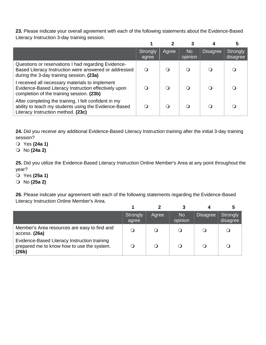**23.** Please indicate your overall agreement with each of the following statements about the Evidence-Based Literacy Instruction 3-day training session.

|                                                                                                                                                          | Strongly<br>agree | Agree            | <b>No</b><br>opinion | <b>Disagree</b> | <b>Strongly</b><br>disagree |
|----------------------------------------------------------------------------------------------------------------------------------------------------------|-------------------|------------------|----------------------|-----------------|-----------------------------|
| Questions or reservations I had regarding Evidence-<br>Based Literacy Instruction were answered or addressed<br>during the 3-day training session. (23a) | Ő                 | $\left( \right)$ | 0                    |                 |                             |
| I received all necessary materials to implement<br>Evidence-Based Literacy Instruction effectively upon<br>completion of the training session. (23b)     |                   | ∩                | ∩                    |                 |                             |
| After completing the training, I felt confident in my<br>ability to teach my students using the Evidence-Based<br>Literacy Instruction method. (23c)     |                   |                  |                      |                 |                             |

**24.** Did you receive any additional Evidence-Based Literacy Instruction training after the initial 3-day training session?

- Yes **(24a 1)**
- No **(24a 2)**

**25.** Did you utilize the Evidence-Based Literacy Instruction Online Member's Area at any point throughout the year?

- Yes **(25a 1)**
- No **(25a 2)**

**26.** Please indicate your agreement with each of the following statements regarding the Evidence-Based Literacy Instruction Online Member's Area.

|                                                                                                     | Strongly<br>agree | Agree  | <b>No</b><br>opinion | <b>Disagree</b> | Strongly<br>disagree |
|-----------------------------------------------------------------------------------------------------|-------------------|--------|----------------------|-----------------|----------------------|
| Member's Area resources are easy to find and<br>access. (26a)                                       |                   | $\cup$ |                      |                 |                      |
| Evidence-Based Literacy Instruction training<br>prepared me to know how to use the system.<br>(26b) |                   | Q      |                      |                 |                      |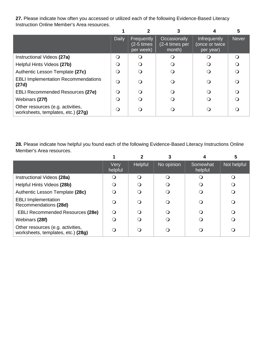**27.** Please indicate how often you accessed or utilized each of the following Evidence-Based Literacy Instruction Online Member's Area resources.

|                                                                         | <b>Daily</b> | Frequently<br>$(2-5 \times s)$<br>per week) | Occasionally<br>(2-4 times per<br>month) | <b>Infrequently</b><br>(once or twice<br>per year) | <b>Never</b> |
|-------------------------------------------------------------------------|--------------|---------------------------------------------|------------------------------------------|----------------------------------------------------|--------------|
| Instructional Videos (27a)                                              | ∩            | ( )                                         |                                          |                                                    |              |
| Helpful Hints Videos (27b)                                              | ∩            | $\Omega$                                    |                                          |                                                    |              |
| Authentic Lesson Template (27c)                                         | ∩            | ່ 1                                         |                                          |                                                    |              |
| <b>EBLI Implementation Recommendations</b><br>(27d)                     | $\Omega$     | 0                                           |                                          |                                                    |              |
| <b>EBLI Recommended Resources (27e)</b>                                 | ∩            | ി                                           |                                          |                                                    |              |
| Webinars (27f)                                                          |              |                                             |                                          |                                                    |              |
| Other resources (e.g. activities,<br>worksheets, templates, etc.) (27g) | ∩            |                                             |                                          |                                                    |              |

**28.** Please indicate how helpful you found each of the following Evidence-Based Literacy Instructions Online Member's Area resources.

|                                                                         |                 | 2              |            |                     |             |
|-------------------------------------------------------------------------|-----------------|----------------|------------|---------------------|-------------|
|                                                                         | Very<br>helpful | <b>Helpful</b> | No opinion | Somewhat<br>helpful | Not helpful |
| Instructional Videos (28a)                                              |                 |                | ∩          |                     |             |
| Helpful Hints Videos (28b)                                              |                 |                |            |                     |             |
| Authentic Lesson Template (28c)                                         |                 |                |            |                     |             |
| <b>EBLI Implementation</b><br>Recommendations (28d)                     |                 |                | ∩          |                     |             |
| <b>EBLI Recommended Resources (28e)</b>                                 | ∩               |                | ∩          |                     |             |
| Webinars (28f)                                                          |                 |                |            |                     |             |
| Other resources (e.g. activities,<br>worksheets, templates, etc.) (28g) |                 |                |            |                     |             |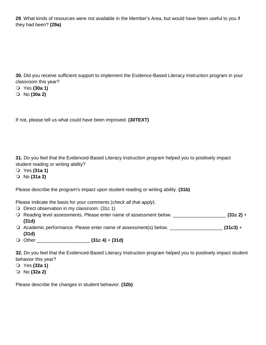**29**. What kinds of resources were not available in the Member's Area, but would have been useful to you if they had been? **(29a)**

**30.** Did you receive sufficient support to implement the Evidence-Based Literacy Instruction program in your classroom this year?

- Yes **(30a 1)**
- No **(30a 2)**

If not, please tell us what could have been improved. **(30TEXT)**

**31.** Do you feel that the Evidenced-Based Literacy Instruction program helped you to positively impact student reading or writing ability?

- Yes **(31a 1)**
- No **(31a 2)**

Please describe the program's impact upon student reading or writing ability. **(31b)**

Please indicate the basis for your comments (*check all that apply*).

- O Direct observation in my classroom. (31c 1)
- Reading level assessments. Please enter name of assessment below. \_\_\_\_\_\_\_\_\_\_\_\_\_\_\_\_\_\_\_\_ **(31c 2)** + **(31d)**
- Academic performance. Please enter name of assessment(s) below. \_\_\_\_\_\_\_\_\_\_\_\_\_\_\_\_\_\_\_\_ **(31c3)** + **(31d)**
- Other \_\_\_\_\_\_\_\_\_\_\_\_\_\_\_\_\_\_\_\_ **(31c 4)** + **(31d)**

**32.** Do you feel that the Evidenced-Based Literacy Instruction program helped you to positively impact student behavior this year?

- Yes **(32a 1)**
- No **(32a 2)**

Please describe the changes in student behavior. **(32b)**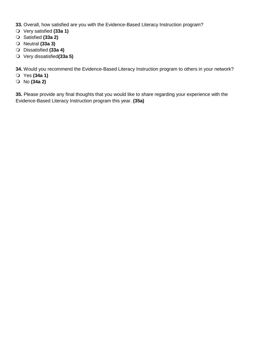**33.** Overall, how satisfied are you with the Evidence-Based Literacy Instruction program?

- Very satisfied **(33a 1)**
- Satisfied **(33a 2)**
- Neutral **(33a 3)**
- Dissatisfied **(33a 4)**
- Very dissatisfied**(33a 5)**

**34.** Would you recommend the Evidence-Based Literacy Instruction program to others in your network?

- Yes **(34a 1)**
- No **(34a 2)**

**35.** Please provide any final thoughts that you would like to share regarding your experience with the Evidence-Based Literacy Instruction program this year. **(35a)**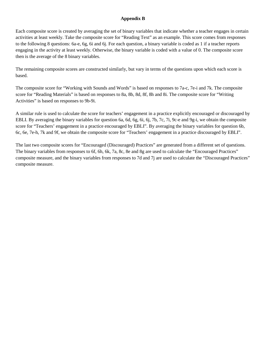## **Appendix B**

Each composite score is created by averaging the set of binary variables that indicate whether a teacher engages in certain activities at least weekly. Take the composite score for "Reading Text" as an example. This score comes from responses to the following 8 questions: 6a-e, 6g, 6i and 6j. For each question, a binary variable is coded as 1 if a teacher reports engaging in the activity at least weekly. Otherwise, the binary variable is coded with a value of 0. The composite score then is the average of the 8 binary variables.

The remaining composite scores are constructed similarly, but vary in terms of the questions upon which each score is based.

The composite score for "Working with Sounds and Words" is based on responses to 7a-c, 7e-i and 7k. The composite score for "Reading Materials" is based on responses to 8a, 8b, 8d, 8f, 8h and 8i. The composite score for "Writing Activities" is based on responses to 9b-9i.

A similar rule is used to calculate the score for teachers' engagement in a practice explicitly encouraged or discouraged by EBLI. By averaging the binary variables for question 6a, 6d, 6g, 6i, 6j, 7b, 7c, 7i, 9c-e and 9g-i, we obtain the composite score for "Teachers' engagement in a practice encouraged by EBLI". By averaging the binary variables for question 6b, 6c, 6e, 7e-h, 7k and 9f, we obtain the composite score for "Teachers' engagement in a practice discouraged by EBLI".

The last two composite scores for "Encouraged (Discouraged) Practices" are generated from a different set of questions. The binary variables from responses to 6f, 6h, 6k, 7a, 8c, 8e and 8g are used to calculate the "Encouraged Practices" composite measure, and the binary variables from responses to 7d and 7j are used to calculate the "Discouraged Practices" composite measure.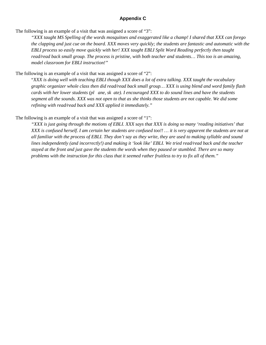## **Appendix C**

The following is an example of a visit that was assigned a score of "3":

*"XXX taught MS Spelling of the words mosquitoes and exaggerated like a champ! I shared that XXX can forego the clapping and just cue on the board. XXX moves very quickly; the students are fantastic and automatic with the EBLI process so easily move quickly with her! XXX taught EBLI Split Word Reading perfectly then taught read/read back small group. The process is pristine, with both teacher and students… This too is an amazing, model classroom for EBLI instruction!"* 

The following is an example of a visit that was assigned a score of "2":

"*XXX is doing well with teaching EBLI though XXX does a lot of extra talking. XXX taught the vocabulary graphic organizer whole class then did read/read back small group… XXX is using blend and word family flash cards with her lower students (pl ane, sk ate). I encouraged XXX to do sound lines and have the students segment all the sounds. XXX was not open to that as she thinks those students are not capable. We did some refining with read/read back and XXX applied it immediately."* 

#### The following is an example of a visit that was assigned a score of "1":

*"XXX is just going through the motions of EBLI. XXX says that XXX is doing so many 'reading initiatives' that XXX is confused herself. I am certain her students are confused too!! … it is very apparent the students are not at all familiar with the process of EBLI. They don't say as they write, they are used to making syllable and sound lines independently (and incorrectly!) and making it 'look like' EBLI. We tried read/read back and the teacher stayed at the front and just gave the students the words when they paused or stumbled. There are so many problems with the instruction for this class that it seemed rather fruitless to try to fix all of them."*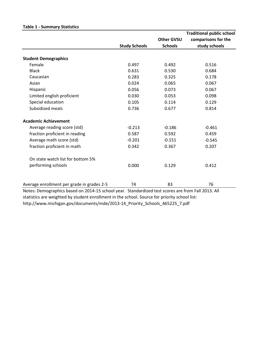|                                            |                      |                   | <b>Traditional public school</b> |
|--------------------------------------------|----------------------|-------------------|----------------------------------|
|                                            |                      | <b>Other GVSU</b> | comparisons for the              |
|                                            | <b>Study Schools</b> | <b>Schools</b>    | study schools                    |
| <b>Student Demographics</b>                |                      |                   |                                  |
| Female                                     | 0.497                | 0.492             | 0.516                            |
| <b>Black</b>                               | 0.631                | 0.530             | 0.684                            |
| Caucasian                                  | 0.283                | 0.325             | 0.178                            |
| Asian                                      | 0.024                | 0.065             | 0.067                            |
| Hispanic                                   | 0.056                | 0.073             | 0.067                            |
| Limited english proficient                 | 0.030                | 0.053             | 0.098                            |
| Special education                          | 0.105                | 0.114             | 0.129                            |
| Subsidized meals                           | 0.736                | 0.677             | 0.814                            |
| <b>Academic Achievement</b>                |                      |                   |                                  |
| Average reading score (std)                | $-0.213$             | $-0.186$          | $-0.461$                         |
| fraction proficient in reading             | 0.587                | 0.592             | 0.459                            |
| Average math score (std)                   | $-0.201$             | $-0.151$          | $-0.545$                         |
| fraction proficient in math                | 0.342                | 0.367             | 0.207                            |
| On state watch list for bottom 5%          |                      |                   |                                  |
| performing schools                         | 0.000                | 0.129             | 0.412                            |
| Average enrollment per grade in grades 2-5 | 74                   | 83                | 76                               |

#### **Table 1 - Summary Statistics**

Notes: Demographics based on 2014-15 school year. Standardized test scores are from Fall 2013. All statistics are weighted by student enrollment in the school. Source for priority school list: http://www.michigan.gov/documents/mde/2013-14\_Priority\_Schools\_465225\_7.pdf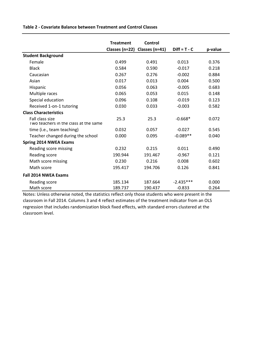**Table 2 - Covariate Balance between Treatment and Control Classes**

|                                                          | <b>Treatment</b> | Control                       |                |         |
|----------------------------------------------------------|------------------|-------------------------------|----------------|---------|
|                                                          |                  | Classes (n=22) Classes (n=41) | $Diff = T - C$ | p-value |
| <b>Student Background</b>                                |                  |                               |                |         |
| Female                                                   | 0.499            | 0.491                         | 0.013          | 0.376   |
| <b>Black</b>                                             | 0.584            | 0.590                         | $-0.017$       | 0.218   |
| Caucasian                                                | 0.267            | 0.276                         | $-0.002$       | 0.884   |
| Asian                                                    | 0.017            | 0.013                         | 0.004          | 0.500   |
| Hispanic                                                 | 0.056            | 0.063                         | $-0.005$       | 0.683   |
| Multiple races                                           | 0.065            | 0.053                         | 0.015          | 0.148   |
| Special education                                        | 0.096            | 0.108                         | $-0.019$       | 0.123   |
| Received 1-on-1 tutoring                                 | 0.030            | 0.033                         | $-0.003$       | 0.582   |
| <b>Class Characteristics</b>                             |                  |                               |                |         |
| Fall class size<br>Two teachers in the class at the same | 25.3             | 25.3                          | $-0.668*$      | 0.072   |
| time (i.e., team teaching)                               | 0.032            | 0.057                         | $-0.027$       | 0.545   |
| Teacher changed during the school                        | 0.000            | 0.095                         | $-0.089**$     | 0.040   |
| <b>Spring 2014 NWEA Exams</b>                            |                  |                               |                |         |
| Reading score missing                                    | 0.232            | 0.215                         | 0.011          | 0.490   |
| Reading score                                            | 190.944          | 191.467                       | $-0.967$       | 0.121   |
| Math score missing                                       | 0.230            | 0.216                         | 0.008          | 0.602   |
| Math score                                               | 195.417          | 194.706                       | 0.126          | 0.841   |
| <b>Fall 2014 NWEA Exams</b>                              |                  |                               |                |         |
| Reading score                                            | 185.134          | 187.664                       | $-2.435***$    | 0.000   |
| Math score                                               | 189.737          | 190.437                       | $-0.833$       | 0.264   |

Notes: Unless otherwise noted, the statistics reflect only those students who were present in the classroom in Fall 2014. Columns 3 and 4 reflect estimates of the treatment indicator from an OLS regression that includes randomization block fixed effects, with standard errors clustered at the classroom level.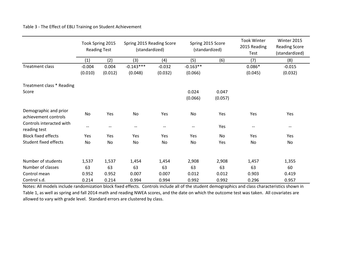Table 3 - The Effect of EBLI Training on Student Achievement

|                                               |          | Took Spring 2015<br><b>Reading Test</b> | Spring 2015 Reading Score<br>(standardized) |                          | Spring 2015 Score<br>(standardized) |         | <b>Took Winter</b><br>2015 Reading<br>Test | Winter 2015<br><b>Reading Score</b><br>(standardized) |
|-----------------------------------------------|----------|-----------------------------------------|---------------------------------------------|--------------------------|-------------------------------------|---------|--------------------------------------------|-------------------------------------------------------|
|                                               | (1)      | (2)                                     | (3)                                         | (4)                      | (5)                                 | (6)     | (7)                                        | (8)                                                   |
| <b>Treatment class</b>                        | $-0.004$ | 0.004                                   | $-0.143***$                                 | $-0.032$                 | $-0.163**$                          |         | $0.086*$                                   | $-0.015$                                              |
|                                               | (0.010)  | (0.012)                                 | (0.048)                                     | (0.032)                  | (0.066)                             |         | (0.045)                                    | (0.032)                                               |
| Treatment class * Reading                     |          |                                         |                                             |                          |                                     |         |                                            |                                                       |
| Score                                         |          |                                         |                                             |                          | 0.024                               | 0.047   |                                            |                                                       |
|                                               |          |                                         |                                             |                          | (0.066)                             | (0.057) |                                            |                                                       |
| Demographic and prior<br>achievement controls | No       | Yes                                     | No                                          | Yes                      | No                                  | Yes     | Yes                                        | Yes                                                   |
| Controls interacted with<br>reading test      | --       |                                         | $\overline{\phantom{a}}$                    | $\overline{\phantom{a}}$ | $-$                                 | Yes     | $\hspace{0.05cm}$ – $\hspace{0.05cm}$      | $\qquad \qquad -$                                     |
| <b>Block fixed effects</b>                    | Yes      | Yes                                     | Yes                                         | Yes                      | Yes                                 | No      | Yes                                        | Yes                                                   |
| <b>Student fixed effects</b>                  | No       | No                                      | No                                          | No                       | <b>No</b>                           | Yes     | No                                         | No                                                    |
| Number of students                            | 1,537    | 1,537                                   | 1,454                                       | 1,454                    | 2,908                               | 2,908   | 1,457                                      | 1,355                                                 |
| Number of classes                             | 63       | 63                                      | 63                                          | 63                       | 63                                  | 63      | 63                                         | 60                                                    |
| Control mean                                  | 0.952    | 0.952                                   | 0.007                                       | 0.007                    | 0.012                               | 0.012   | 0.903                                      | 0.419                                                 |
| Control s.d.                                  | 0.214    | 0.214                                   | 0.994                                       | 0.994                    | 0.992                               | 0.992   | 0.296                                      | 0.957                                                 |

Notes: All models include randomization block fixed effects. Controls include all of the student demographics and class characteristics shown in Table 1, as well as spring and fall 2014 math and reading NWEA scores, and the date on which the outcome test was taken. All covariates are allowed to vary with grade level. Standard errors are clustered by class.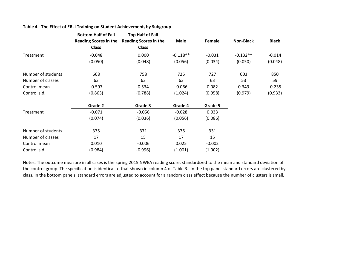|                    | <b>Bottom Half of Fall</b><br><b>Reading Scores in the</b><br><b>Class</b> | <b>Top Half of Fall</b><br><b>Reading Scores in the</b><br><b>Class</b> | <b>Male</b> | Female   | <b>Non-Black</b> | <b>Black</b> |
|--------------------|----------------------------------------------------------------------------|-------------------------------------------------------------------------|-------------|----------|------------------|--------------|
| Treatment          | $-0.048$                                                                   | 0.000                                                                   | $-0.118**$  | $-0.031$ | $-0.132**$       | $-0.014$     |
|                    | (0.050)                                                                    | (0.048)                                                                 | (0.056)     | (0.034)  | (0.050)          | (0.048)      |
| Number of students | 668                                                                        | 758                                                                     | 726         | 727      | 603              | 850          |
| Number of classes  | 63                                                                         | 63                                                                      | 63          | 63       | 53               | 59           |
| Control mean       | $-0.597$                                                                   | 0.534                                                                   | $-0.066$    | 0.082    | 0.349            | $-0.235$     |
| Control s.d.       | (0.863)                                                                    | (0.788)                                                                 | (1.024)     | (0.958)  | (0.979)          | (0.933)      |
|                    | Grade 2                                                                    | Grade 3                                                                 | Grade 4     | Grade 5  |                  |              |
| Treatment          | $-0.071$                                                                   | $-0.056$                                                                | $-0.028$    | 0.033    |                  |              |
|                    | (0.074)                                                                    | (0.036)                                                                 | (0.056)     | (0.086)  |                  |              |
| Number of students | 375                                                                        | 371                                                                     | 376         | 331      |                  |              |
| Number of classes  | 17                                                                         | 15                                                                      | 17          | 15       |                  |              |
| Control mean       | 0.010                                                                      | $-0.006$                                                                | 0.025       | $-0.002$ |                  |              |
| Control s.d.       | (0.984)                                                                    | (0.996)                                                                 | (1.001)     | (1.002)  |                  |              |

## **Table 4 - The Effect of EBLI Training on Student Achievement, by Subgroup**

Notes: The outcome measure in all cases is the spring 2015 NWEA reading score, standardized to the mean and standard deviation of the control group. The specification is identical to that shown in column 4 of Table 3. In the top panel standard errors are clustered by class. In the bottom panels, standard errors are adjusted to account for a random class effect because the number of clusters is small.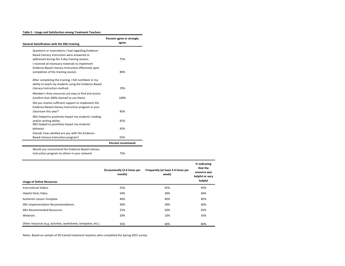#### **Table 5 - Usage and Satisfaction among Treatment Teachers**

| <b>General Satisification with the EBLI training</b>                                                                                           | Percent agree or strongly<br>agree |
|------------------------------------------------------------------------------------------------------------------------------------------------|------------------------------------|
| Questions or reservations I had regarding Evidence-<br>Based Literacy Instruction were answered or                                             |                                    |
| addressed during the 3-day training session.<br>I received all necessary materials to implement                                                | 75%                                |
| Evidence-Based Literacy Instruction effectively upon<br>completion of the training session.                                                    | 80%                                |
| After completing the training, I felt confident in my<br>ability to teach my students using the Evidence-Based<br>Literacy Instruction method. | 70%                                |
| Member's Area resources are easy to find and access.<br>(confirm that 100% claimed to use them)                                                | 100%                               |
| Did you receive sufficient support to implement the<br>Evidence-Based Literacy Instruction program in your<br>classroom this year?             | 85%                                |
| EBLI helped to positively impact my students' reading<br>and/or writing ability.<br>EBLI helped to positively impact my students'              | 65%                                |
| behavior.<br>Overall, how satisfied are you with the Evidence-                                                                                 | 45%                                |
| Based Literacy Instruction program?                                                                                                            | 55%                                |
|                                                                                                                                                | <b>Percent recommend</b>           |
| Would you recommend the Evidence-Based Literacy<br>Instruction program to others in your network                                               | 75%                                |

| <b>Usage of Online Resources</b>                               | Occassionally (2-4 times per<br>month) | Frequently (at least 2-4 times per<br>week) | % indicating<br>that the<br>resource was<br>helpful or very<br>helpful |
|----------------------------------------------------------------|----------------------------------------|---------------------------------------------|------------------------------------------------------------------------|
| <b>Instructional Videos</b>                                    | 55%                                    | 45%                                         | 95%                                                                    |
| Helpful Hints Video                                            | 50%                                    | 30%                                         | 60%                                                                    |
| Authentic Lesson Template                                      | 40%                                    | 40%                                         | 85%                                                                    |
| <b>EBLI Implementation Recommendations</b>                     | 40%                                    | 30%                                         | 60%                                                                    |
| <b>EBLI Recommended Resources</b>                              | 25%                                    | 50%                                         | 65%                                                                    |
| Webinars                                                       | 20%                                    | 10%                                         | 35%                                                                    |
| Other resources (e.g. activities, worksheets, templates, etc.) | 35%                                    | 60%                                         | 80%                                                                    |

Notes: Based on sample of 20 trained treatment teachers who completed the Spring 2015 survey.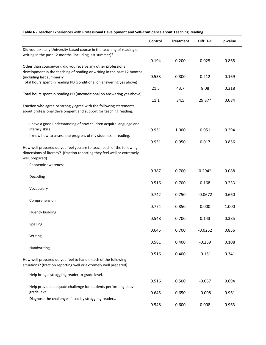|                                                                         | Control | <b>Treatment</b> | Diff: T-C | p-value |
|-------------------------------------------------------------------------|---------|------------------|-----------|---------|
| Did you take any University-based course in the teaching of reading or  |         |                  |           |         |
| writing in the past 12 months (including last summer)?                  |         |                  |           |         |
|                                                                         | 0.194   | 0.200            | 0.025     | 0.865   |
| Other than coursework, did you receive any other professional           |         |                  |           |         |
| development in the teaching of reading or writing in the past 12 months |         |                  |           |         |
| (including last summer)?                                                | 0.533   | 0.800            | 0.212     | 0.169   |
| Total hours spent in reading PD (conditional on answering yes above)    |         |                  |           |         |
|                                                                         | 21.5    | 43.7             | 8.08      | 0.318   |
| Total hours spent in reading PD (unconditional on answering yes above)  |         |                  |           |         |
|                                                                         | 11.1    | 34.5             | 29.37*    | 0.084   |
| Fraction who agree or strongly agree with the following statements      |         |                  |           |         |
| about professional develompent and support for teaching reading:        |         |                  |           |         |
|                                                                         |         |                  |           |         |
| I have a good understanding of how children acquire language and        |         |                  |           |         |
| literacy skills.                                                        | 0.931   | 1.000            | 0.051     | 0.294   |
| I know how to assess the progress of my students in reading.            |         |                  |           |         |
|                                                                         | 0.931   | 0.950            | 0.017     | 0.856   |
| How well prepared do you feel you are to teach each of the following    |         |                  |           |         |
| dimensions of literacy? (fraction reporting they feel well or extremely |         |                  |           |         |
| well prepared)                                                          |         |                  |           |         |
| Phonemic awareness                                                      |         |                  |           |         |
|                                                                         | 0.387   | 0.700            | $0.294*$  | 0.088   |
| Decoding                                                                |         |                  |           |         |
|                                                                         | 0.516   | 0.700            | 0.168     | 0.233   |
| Vocabulary                                                              |         |                  |           |         |
|                                                                         | 0.742   | 0.750            | $-0.0672$ | 0.660   |
| Comprehension                                                           |         |                  |           |         |
|                                                                         | 0.774   | 0.850            | 0.000     | 1.000   |
| Fluency building                                                        |         |                  |           |         |
|                                                                         | 0.548   | 0.700            | 0.143     | 0.385   |
| Spelling                                                                |         |                  |           |         |
|                                                                         | 0.645   | 0.700            | $-0.0252$ | 0.856   |
| Writing                                                                 |         |                  |           |         |
|                                                                         | 0.581   | 0.400            | $-0.269$  | 0.108   |
| Handwriting                                                             |         |                  |           |         |
|                                                                         | 0.516   | 0.400            | $-0.151$  | 0.341   |
| How well prepared do you feel to handle each of the following           |         |                  |           |         |
| situations? (fraction reporting well or extremely well prepared)        |         |                  |           |         |
|                                                                         |         |                  |           |         |
| Help bring a struggling reader to grade level.                          |         |                  |           |         |
|                                                                         | 0.516   | 0.500            | $-0.067$  | 0.694   |
| Help provide adequate challenge for students performing above           |         |                  |           |         |
| grade level.                                                            | 0.645   | 0.650            | $-0.008$  | 0.961   |
| Diagnose the challenges faced by struggling readers.                    |         |                  |           |         |
|                                                                         | 0.548   | 0.600            | 0.008     | 0.963   |

## **Table 6 - Teacher Experiences with Professional Development and Self-Confidence about Teaching Reading**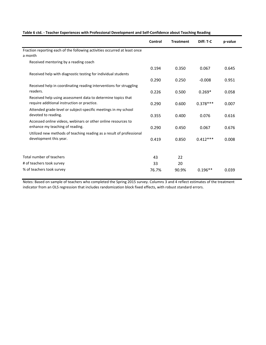|  | Table 6 ctd. - Teacher Experiences with Professional Development and Self-Confidence about Teaching Reading |  |
|--|-------------------------------------------------------------------------------------------------------------|--|
|--|-------------------------------------------------------------------------------------------------------------|--|

|                                                                                                             | Control | <b>Treatment</b> | Diff: T-C  | p-value |
|-------------------------------------------------------------------------------------------------------------|---------|------------------|------------|---------|
| Fraction reporting each of the following activities occurred at least once<br>a month                       |         |                  |            |         |
| Received mentoring by a reading coach                                                                       |         |                  |            |         |
|                                                                                                             | 0.194   | 0.350            | 0.067      | 0.645   |
| Received help with diagnostic testing for individual students                                               |         |                  |            |         |
|                                                                                                             | 0.290   | 0.250            | $-0.008$   | 0.951   |
| Received help in coordinating reading interventions for struggling                                          |         |                  |            |         |
| readers.                                                                                                    | 0.226   | 0.500            | $0.269*$   | 0.058   |
| Received help using assessment data to determine topics that<br>require additional instruction or practice. | 0.290   | 0.600            | $0.378***$ | 0.007   |
| Attended grade-level or subject-specific meetings in my school                                              |         |                  |            |         |
| devoted to reading.                                                                                         | 0.355   | 0.400            | 0.076      | 0.616   |
| Accessed online videos, webinars or other online resources to                                               |         |                  |            |         |
| enhance my teaching of reading.                                                                             | 0.290   | 0.450            | 0.067      | 0.676   |
| Utilized new methods of teaching reading as a result of professional                                        |         |                  |            |         |
| development this year.                                                                                      | 0.419   | 0.850            | $0.412***$ | 0.008   |
|                                                                                                             |         |                  |            |         |
| Total number of teachers                                                                                    | 43      | 22               |            |         |
| # of teachers took survey                                                                                   | 33      | 20               |            |         |
| % of teachers took survey                                                                                   | 76.7%   | 90.9%            | $0.196**$  | 0.039   |

Notes: Based on sample of teachers who completed the Spring 2015 survey. Columns 3 and 4 reflect estimates of the treatment indicator from an OLS regression that includes randomization block fixed effects, with robust standard errors.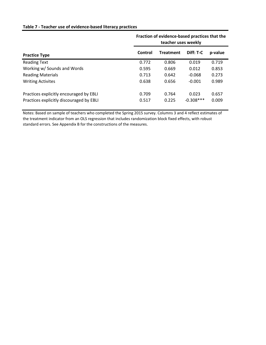## **Table 7 - Teacher use of evidence-based literacy practices**

|                                                                                     | Fraction of evidence-based practices that the<br>teacher uses weekly |                  |                       |                |
|-------------------------------------------------------------------------------------|----------------------------------------------------------------------|------------------|-----------------------|----------------|
| <b>Practice Type</b>                                                                | Control                                                              | <b>Treatment</b> | Diff: T-C             | p-value        |
| <b>Reading Text</b>                                                                 | 0.772                                                                | 0.806            | 0.019                 | 0.719          |
| Working w/ Sounds and Words                                                         | 0.595                                                                | 0.669            | 0.012                 | 0.853          |
| <b>Reading Materials</b>                                                            | 0.713                                                                | 0.642            | $-0.068$              | 0.273          |
| <b>Writing Activites</b>                                                            | 0.638                                                                | 0.656            | $-0.001$              | 0.989          |
| Practices explicitly encouraged by EBLI<br>Practices explicitly discouraged by EBLI | 0.709<br>0.517                                                       | 0.764<br>0.225   | 0.023<br>$-0.308$ *** | 0.657<br>0.009 |

Notes: Based on sample of teachers who completed the Spring 2015 survey. Columns 3 and 4 reflect estimates of the treatment indicator from an OLS regression that includes randomization block fixed effects, with robust standard errors. See Appendix B for the constructions of the measures.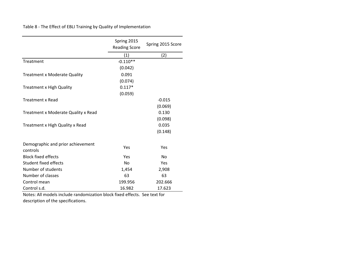Table 8 - The Effect of EBLI Training by Quality of Implementation

|                                               | Spring 2015<br><b>Reading Score</b> | Spring 2015 Score |
|-----------------------------------------------|-------------------------------------|-------------------|
|                                               | (1)                                 | (2)               |
| Treatment                                     | $-0.110**$                          |                   |
|                                               | (0.042)                             |                   |
| <b>Treatment x Moderate Quality</b>           | 0.091                               |                   |
|                                               | (0.074)                             |                   |
| <b>Treatment x High Quality</b>               | $0.117*$                            |                   |
|                                               | (0.059)                             |                   |
| <b>Treatment x Read</b>                       |                                     | $-0.015$          |
|                                               |                                     | (0.069)           |
| Treatment x Moderate Quality x Read           |                                     | 0.130             |
|                                               |                                     | (0.098)           |
| Treatment x High Quality x Read               |                                     | 0.035             |
|                                               |                                     | (0.148)           |
| Demographic and prior achievement<br>controls | Yes                                 | Yes               |
| <b>Block fixed effects</b>                    | Yes                                 | <b>No</b>         |
| Student fixed effects                         | No                                  | Yes               |
| Number of students                            | 1,454                               | 2,908             |
| Number of classes                             | 63                                  | 63                |
| Control mean                                  | 199.956                             | 202.666           |
| Control s.d.                                  | 16.982                              | 17.623            |

Notes: All models include randomization block fixed effects. See text for description of the specifications.